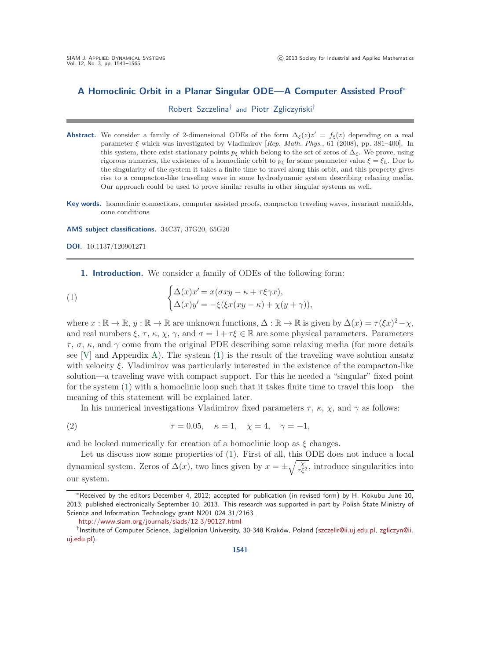# **A Homoclinic Orbit in a Planar Singular ODE—A Computer Assisted Proof**<sup>∗</sup>

<span id="page-0-0"></span>Robert Szczelina<sup>†</sup> and Piotr Zgliczyński<sup>†</sup>

- **Abstract.** We consider a family of 2-dimensional ODEs of the form  $\Delta_{\xi}(z)z' = f_{\xi}(z)$  depending on a real parameter ξ which was investigated by Vladimirov [*Rep. Math. Phys.*, 61 (2008), pp. 381–400]. In this system, there exist stationary points  $p_{\xi}$  which belong to the set of zeros of  $\Delta_{\xi}$ . We prove, using rigorous numerics, the existence of a homoclinic orbit to  $p<sub>\epsilon</sub>$  for some parameter value  $\xi = \xi<sub>h</sub>$ . Due to the singularity of the system it takes a finite time to travel along this orbit, and this property gives rise to a compacton-like traveling wave in some hydrodynamic system describing relaxing media. Our approach could be used to prove similar results in other singular systems as well.
- **Key words.** homoclinic connections, computer assisted proofs, compacton traveling waves, invariant manifolds, cone conditions

**AMS subject classifications.** 34C37, 37G20, 65G20

**DOI.** 10.1137/120901271

**1. Introduction.** We consider a family of ODEs of the following form:

(1) 
$$
\begin{cases} \Delta(x)x' = x(\sigma xy - \kappa + \tau \xi \gamma x), \\ \Delta(x)y' = -\xi(\xi x(xy - \kappa) + \chi(y + \gamma)), \end{cases}
$$

where  $x : \mathbb{R} \to \mathbb{R}, y : \mathbb{R} \to \mathbb{R}$  are unknown functions,  $\Delta : \mathbb{R} \to \mathbb{R}$  is given by  $\Delta(x) = \tau(\xi x)^2 - \chi$ , and real numbers  $\xi, \tau, \kappa, \chi, \gamma$ , and  $\sigma = 1 + \tau \xi \in \mathbb{R}$  are some physical parameters. Parameters τ , σ, κ, and γ come from the original PDE describing some relaxing media (for more details see  $[V]$  and Appendix [A\)](#page-21-0). The system  $(1)$  is the result of the traveling wave solution ansatz with velocity  $\xi$ . Vladimirov was particularly interested in the existence of the compacton-like solution—a traveling wave with compact support. For this he needed a "singular" fixed point for the system [\(1\)](#page-0-0) with a homoclinic loop such that it takes finite time to travel this loop—the meaning of this statement will be explained later.

<span id="page-0-1"></span>In his numerical investigations Vladimirov fixed parameters  $\tau$ ,  $\kappa$ ,  $\chi$ , and  $\gamma$  as follows:

(2) 
$$
\tau = 0.05, \quad \kappa = 1, \quad \chi = 4, \quad \gamma = -1,
$$

and he looked numerically for creation of a homoclinic loop as  $\xi$  changes.

Let us discuss now some properties of [\(1\)](#page-0-0). First of all, this ODE does not induce a local dynamical system. Zeros of  $\Delta(x)$ , two lines given by  $x = \pm \sqrt{\frac{\chi}{\tau \xi^2}}$ , introduce singularities into our system.

<sup>∗</sup>Received by the editors December 4, 2012; accepted for publication (in revised form) by H. Kokubu June 10, 2013; published electronically September 10, 2013. This research was supported in part by Polish State Ministry of Science and Information Technology grant N201 024 31/2163.

<http://www.siam.org/journals/siads/12-3/90127.html>

<sup>†</sup>Institute of Computer Science, Jagiellonian University, 30-348 Krak´ow, Poland [\(szczelir@ii.uj.edu.pl,](mailto:szczelir@ii.uj.edu.pl) [zgliczyn@ii.](mailto:zgliczyn@ii.uj.edu.pl) [uj.edu.pl\)](mailto:zgliczyn@ii.uj.edu.pl).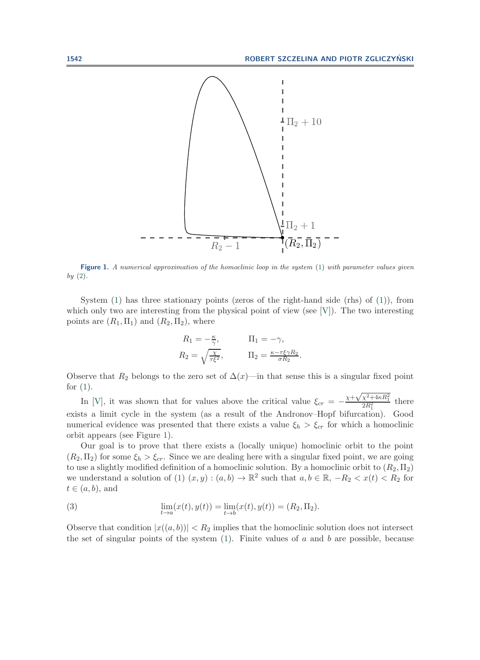

<span id="page-1-0"></span>**Figure 1.** *A numerical approximation of the homoclinic loop in the system* [\(1\)](#page-0-0) *with parameter values given by* [\(2\)](#page-0-1)*.*

System  $(1)$  has three stationary points (zeros of the right-hand side (rhs) of  $(1)$ ), from which only two are interesting from the physical point of view (see  $[V]$ ). The two interesting points are  $(R_1, \Pi_1)$  and  $(R_2, \Pi_2)$ , where

$$
R_1 = -\frac{\kappa}{\gamma}, \qquad \Pi_1 = -\gamma,
$$
  
\n
$$
R_2 = \sqrt{\frac{\chi}{\tau \xi^2}}, \qquad \Pi_2 = \frac{\kappa - \tau \xi \gamma R_2}{\sigma R_2}.
$$

Observe that  $R_2$  belongs to the zero set of  $\Delta(x)$ —in that sense this is a singular fixed point for  $(1)$ .

In [\[V\]](#page-23-0), it was shown that for values above the critical value  $\xi_{cr} = -\frac{\chi + \sqrt{\chi^2 + 4\kappa R_1^2}}{2R_1^2}$ there exists a limit cycle in the system (as a result of the Andronov–Hopf bifurcation). Good numerical evidence was presented that there exists a value  $\xi_h > \xi_{cr}$  for which a homoclinic orbit appears (see Figure [1\)](#page-1-0).

Our goal is to prove that there exists a (locally unique) homoclinic orbit to the point  $(R_2, \Pi_2)$  for some  $\xi_h > \xi_{cr}$ . Since we are dealing here with a singular fixed point, we are going to use a slightly modified definition of a homoclinic solution. By a homoclinic orbit to  $(R_2, \Pi_2)$ we understand a solution of [\(1\)](#page-0-0)  $(x, y) : (a, b) \to \mathbb{R}^2$  such that  $a, b \in \mathbb{R}, -R_2 < x(t) < R_2$  for  $t \in (a, b)$ , and

<span id="page-1-1"></span>(3) 
$$
\lim_{t \to a} (x(t), y(t)) = \lim_{t \to b} (x(t), y(t)) = (R_2, \Pi_2).
$$

Observe that condition  $|x((a, b))| < R_2$  implies that the homoclinic solution does not intersect the set of singular points of the system  $(1)$ . Finite values of a and b are possible, because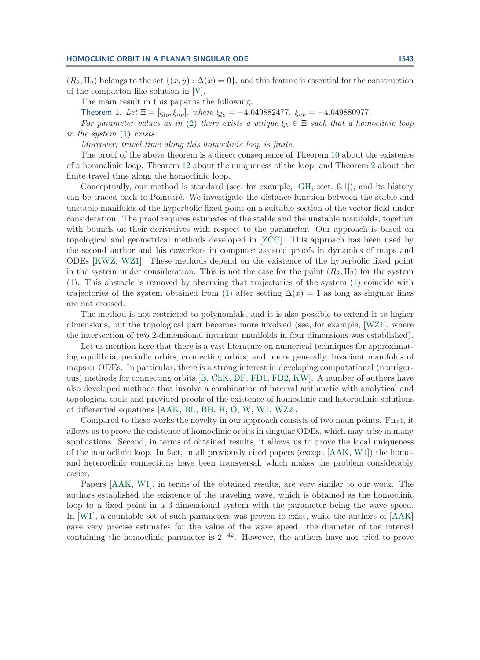#### **HOMOCLINIC ORBIT IN A PLANAR SINGULAR ODE 1543**

 $(R_2, \Pi_2)$  belongs to the set  $\{(x, y) : \Delta(x) = 0\}$ , and this feature is essential for the construction of the compacton-like solution in [\[V\]](#page-23-0).

<span id="page-2-0"></span>The main result in this paper is the following.

Theorem 1. *Let*  $\Xi = [\xi_{lo}, \xi_{up}]$ *, where*  $\xi_{lo} = -4.049882477$ ,  $\xi_{up} = -4.049880977$ .

*For parameter values as in* [\(2\)](#page-0-1) *there exists a unique*  $\xi_h \in \Xi$  *such that a homoclinic loop in the system* [\(1\)](#page-0-0) *exists.*

*Moreover, travel time along this homoclinic loop is finite.*

The proof of the above theorem is a direct consequence of Theorem [10](#page-19-0) about the existence of a homoclinic loop, Theorem [12](#page-20-0) about the uniqueness of the loop, and Theorem [2](#page-5-0) about the finite travel time along the homoclinic loop.

Conceptually, our method is standard (see, for example, [\[GH,](#page-23-1) sect. 6.1]), and its history can be traced back to Poincaré. We investigate the distance function between the stable and unstable manifolds of the hyperbolic fixed point on a suitable section of the vector field under consideration. The proof requires estimates of the stable and the unstable manifolds, together with bounds on their derivatives with respect to the parameter. Our approach is based on topological and geometrical methods developed in [\[ZCC\]](#page-24-0). This approach has been used by the second author and his coworkers in computer assisted proofs in dynamics of maps and ODEs [\[KWZ,](#page-23-2) [WZ1\]](#page-24-1). These methods depend on the existence of the hyperbolic fixed point in the system under consideration. This is not the case for the point  $(R_2, \Pi_2)$  for the system [\(1\)](#page-0-0). This obstacle is removed by observing that trajectories of the system [\(1\)](#page-0-0) coincide with trajectories of the system obtained from [\(1\)](#page-0-0) after setting  $\Delta(x) = 1$  as long as singular lines are not crossed.

The method is not restricted to polynomials, and it is also possible to extend it to higher dimensions, but the topological part becomes more involved (see, for example, [\[WZ1\]](#page-24-1), where the intersection of two 2-dimensional invariant manifolds in four dimensions was established).

Let us mention here that there is a vast literature on numerical techniques for approximating equilibria, periodic orbits, connecting orbits, and, more generally, invariant manifolds of maps or ODEs. In particular, there is a strong interest in developing computational (nonrigorous) methods for connecting orbits [\[B,](#page-23-3) [ChK,](#page-23-4) [DF,](#page-23-5) [FD1,](#page-23-6) [FD2,](#page-23-7) [KW\]](#page-23-8). A number of authors have also developed methods that involve a combination of interval arithmetic with analytical and topological tools and provided proofs of the existence of homoclinic and heteroclinic solutions of differential equations [\[AAK,](#page-22-0) [BL,](#page-22-1) [BH,](#page-23-9) [H,](#page-23-10) [O,](#page-23-11) [W,](#page-23-12) [W1,](#page-23-13) [WZ2\]](#page-24-2).

Compared to these works the novelty in our approach consists of two main points. First, it allows us to prove the existence of homoclinic orbits in singular ODEs, which may arise in many applications. Second, in terms of obtained results, it allows us to prove the local uniqueness of the homoclinic loop. In fact, in all previously cited papers (except [\[AAK,](#page-22-0) [W1\]](#page-23-13)) the homoand heteroclinic connections have been transversal, which makes the problem considerably easier.

Papers [\[AAK,](#page-22-0) [W1\]](#page-23-13), in terms of the obtained results, are very similar to our work. The authors established the existence of the traveling wave, which is obtained as the homoclinic loop to a fixed point in a 3-dimensional system with the parameter being the wave speed. In [\[W1\]](#page-23-13), a countable set of such parameters was proven to exist, while the authors of [\[AAK\]](#page-22-0) gave very precise estimates for the value of the wave speed—the diameter of the interval containing the homoclinic parameter is  $2^{-42}$ . However, the authors have not tried to prove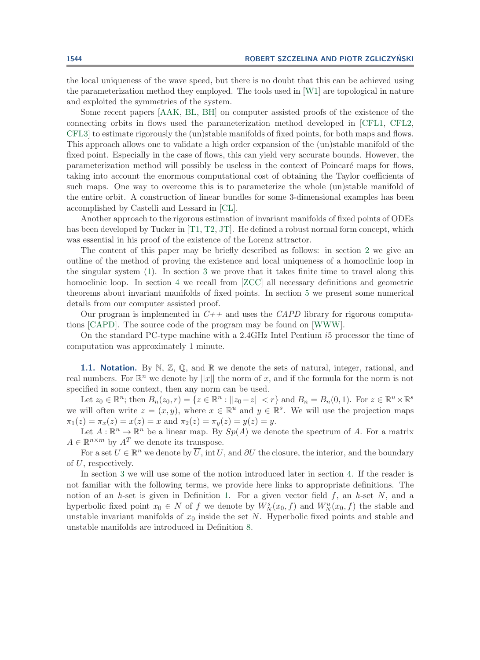the local uniqueness of the wave speed, but there is no doubt that this can be achieved using the parameterization method they employed. The tools used in [\[W1\]](#page-23-13) are topological in nature and exploited the symmetries of the system.

Some recent papers [\[AAK,](#page-22-0) [BL,](#page-22-1) [BH\]](#page-23-9) on computer assisted proofs of the existence of the connecting orbits in flows used the parameterization method developed in [\[CFL1,](#page-23-14) [CFL2,](#page-23-15) [CFL3\]](#page-23-16) to estimate rigorously the (un)stable manifolds of fixed points, for both maps and flows. This approach allows one to validate a high order expansion of the (un)stable manifold of the fixed point. Especially in the case of flows, this can yield very accurate bounds. However, the parameterization method will possibly be useless in the context of Poincaré maps for flows, taking into account the enormous computational cost of obtaining the Taylor coefficients of such maps. One way to overcome this is to parameterize the whole (un)stable manifold of the entire orbit. A construction of linear bundles for some 3-dimensional examples has been accomplished by Castelli and Lessard in [\[CL\]](#page-23-17).

Another approach to the rigorous estimation of invariant manifolds of fixed points of ODEs has been developed by Tucker in [\[T1,](#page-23-18) [T2,](#page-23-19) [JT\]](#page-23-20). He defined a robust normal form concept, which was essential in his proof of the existence of the Lorenz attractor.

The content of this paper may be briefly described as follows: in section [2](#page-3-0) we give an outline of the method of proving the existence and local uniqueness of a homoclinic loop in the singular system [\(1\)](#page-0-0). In section [3](#page-5-1) we prove that it takes finite time to travel along this homoclinic loop. In section [4](#page-7-0) we recall from [\[ZCC\]](#page-24-0) all necessary definitions and geometric theorems about invariant manifolds of fixed points. In section [5](#page-13-0) we present some numerical details from our computer assisted proof.

Our program is implemented in *C++* and uses the *CAPD* library for rigorous computations [\[CAPD\]](#page-23-21). The source code of the program may be found on [\[WWW\]](#page-24-3).

On the standard PC-type machine with a 2.4GHz Intel Pentium i5 processor the time of computation was approximately 1 minute.

**1.1. Notation.** By  $\mathbb{N}, \mathbb{Z}, \mathbb{Q}$ , and  $\mathbb{R}$  we denote the sets of natural, integer, rational, and real numbers. For  $\mathbb{R}^n$  we denote by ||x|| the norm of x, and if the formula for the norm is not specified in some context, then any norm can be used.

Let  $z_0 \in \mathbb{R}^n$ ; then  $B_n(z_0, r) = \{z \in \mathbb{R}^n : ||z_0 - z|| < r\}$  and  $B_n = B_n(0, 1)$ . For  $z \in \mathbb{R}^u \times \mathbb{R}^s$ we will often write  $z = (x, y)$ , where  $x \in \mathbb{R}^u$  and  $y \in \mathbb{R}^s$ . We will use the projection maps  $\pi_1(z) = \pi_x(z) = x(z) = x$  and  $\pi_2(z) = \pi_y(z) = y(z) = y$ .

Let  $A: \mathbb{R}^n \to \mathbb{R}^n$  be a linear map. By  $Sp(A)$  we denote the spectrum of A. For a matrix  $A \in \mathbb{R}^{n \times m}$  by  $A<sup>T</sup>$  we denote its transpose.

For a set  $U \in \mathbb{R}^n$  we denote by  $\overline{U}$ , int U, and ∂U the closure, the interior, and the boundary of U, respectively.

<span id="page-3-0"></span>In section [3](#page-5-1) we will use some of the notion introduced later in section [4.](#page-7-0) If the reader is not familiar with the following terms, we provide here links to appropriate definitions. The notion of an *h*-set is given in Definition [1.](#page-7-1) For a given vector field  $f$ , an *h*-set N, and a hyperbolic fixed point  $x_0 \in N$  of f we denote by  $W_N^s(x_0, f)$  and  $W_N^u(x_0, f)$  the stable and unstable invariant manifolds of  $x_0$  inside the set N. Hyperbolic fixed points and stable and unstable manifolds are introduced in Definition [8.](#page-9-0)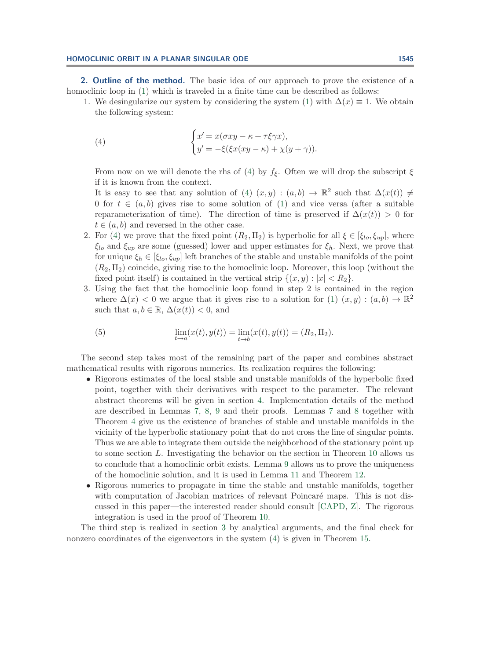**2. Outline of the method.** The basic idea of our approach to prove the existence of a homoclinic loop in [\(1\)](#page-0-0) which is traveled in a finite time can be described as follows:

1. We desingularize our system by considering the system [\(1\)](#page-0-0) with  $\Delta(x) \equiv 1$ . We obtain the following system:

<span id="page-4-0"></span>(4) 
$$
\begin{cases} x' = x(\sigma xy - \kappa + \tau \xi \gamma x), \\ y' = -\xi(\xi x(xy - \kappa) + \chi(y + \gamma)). \end{cases}
$$

From now on we will denote the rhs of [\(4\)](#page-4-0) by  $f_{\xi}$ . Often we will drop the subscript  $\xi$ if it is known from the context.

It is easy to see that any solution of [\(4\)](#page-4-0)  $(x, y) : (a, b) \to \mathbb{R}^2$  such that  $\Delta(x(t)) \neq$ 0 for  $t \in (a, b)$  gives rise to some solution of [\(1\)](#page-0-0) and vice versa (after a suitable reparameterization of time). The direction of time is preserved if  $\Delta(x(t)) > 0$  for  $t \in (a, b)$  and reversed in the other case.

- 2. For [\(4\)](#page-4-0) we prove that the fixed point  $(R_2, \Pi_2)$  is hyperbolic for all  $\xi \in [\xi_{lo}, \xi_{up}]$ , where  $\xi_{lo}$  and  $\xi_{up}$  are some (guessed) lower and upper estimates for  $\xi_h$ . Next, we prove that for unique  $\xi_h \in [\xi_{lo}, \xi_{up}]$  left branches of the stable and unstable manifolds of the point  $(R_2, \Pi_2)$  coincide, giving rise to the homoclinic loop. Moreover, this loop (without the fixed point itself) is contained in the vertical strip  $\{(x, y) : |x| < R_2\}.$
- 3. Using the fact that the homoclinic loop found in step 2 is contained in the region where  $\Delta(x) < 0$  we argue that it gives rise to a solution for  $(1)$   $(x, y) : (a, b) \to \mathbb{R}^2$ such that  $a, b \in \mathbb{R}, \Delta(x(t)) < 0$ , and

(5) 
$$
\lim_{t \to a} (x(t), y(t)) = \lim_{t \to b} (x(t), y(t)) = (R_2, \Pi_2).
$$

The second step takes most of the remaining part of the paper and combines abstract mathematical results with rigorous numerics. Its realization requires the following:

- Rigorous estimates of the local stable and unstable manifolds of the hyperbolic fixed point, together with their derivatives with respect to the parameter. The relevant abstract theorems will be given in section [4.](#page-7-0) Implementation details of the method are described in Lemmas [7,](#page-15-0) [8,](#page-16-0) [9](#page-17-0) and their proofs. Lemmas [7](#page-15-0) and [8](#page-16-0) together with Theorem [4](#page-10-0) give us the existence of branches of stable and unstable manifolds in the vicinity of the hyperbolic stationary point that do not cross the line of singular points. Thus we are able to integrate them outside the neighborhood of the stationary point up to some section L. Investigating the behavior on the section in Theorem [10](#page-19-0) allows us to conclude that a homoclinic orbit exists. Lemma [9](#page-17-0) allows us to prove the uniqueness of the homoclinic solution, and it is used in Lemma [11](#page-20-1) and Theorem [12.](#page-20-0)
- Rigorous numerics to propagate in time the stable and unstable manifolds, together with computation of Jacobian matrices of relevant Poincaré maps. This is not discussed in this paper—the interested reader should consult [\[CAPD,](#page-23-21) [Z\]](#page-24-4). The rigorous integration is used in the proof of Theorem [10.](#page-19-0)

The third step is realized in section [3](#page-5-1) by analytical arguments, and the final check for nonzero coordinates of the eigenvectors in the system [\(4\)](#page-4-0) is given in Theorem [15.](#page-21-1)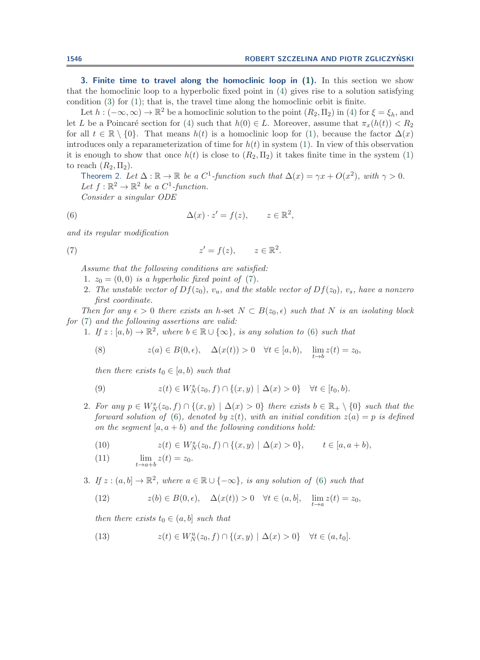<span id="page-5-1"></span>**3. Finite time to travel along the homoclinic loop in [\(1\)](#page-0-0).** In this section we show that the homoclinic loop to a hyperbolic fixed point in [\(4\)](#page-4-0) gives rise to a solution satisfying condition [\(3\)](#page-1-1) for [\(1\)](#page-0-0); that is, the travel time along the homoclinic orbit is finite.

Let  $h: (-\infty,\infty) \to \mathbb{R}^2$  be a homoclinic solution to the point  $(R_2,\Pi_2)$  in [\(4\)](#page-4-0) for  $\xi = \xi_h$ , and let L be a Poincaré section for [\(4\)](#page-4-0) such that  $h(0) \in L$ . Moreover, assume that  $\pi_x(h(t)) < R_2$ for all  $t \in \mathbb{R} \setminus \{0\}$ . That means  $h(t)$  is a homoclinic loop for [\(1\)](#page-0-0), because the factor  $\Delta(x)$ introduces only a reparameterization of time for  $h(t)$  in system [\(1\)](#page-0-0). In view of this observation it is enough to show that once  $h(t)$  is close to  $(R_2, \Pi_2)$  it takes finite time in the system [\(1\)](#page-0-0) to reach  $(R_2, \Pi_2)$ .

<span id="page-5-3"></span><span id="page-5-0"></span>Theorem 2. Let  $\Delta : \mathbb{R} \to \mathbb{R}$  be a  $C^1$ -function such that  $\Delta(x) = \gamma x + O(x^2)$ , with  $\gamma > 0$ . *Let*  $f : \mathbb{R}^2 \to \mathbb{R}^2$  *be a*  $C^1$ *-function. Consider a singular ODE*

(6) 
$$
\Delta(x) \cdot z' = f(z), \qquad z \in \mathbb{R}^2,
$$

*and its regular modification*

(7) 
$$
z' = f(z), \qquad z \in \mathbb{R}^2.
$$

<span id="page-5-2"></span>*Assume that the following conditions are satisfied:*

- 1.  $z_0 = (0, 0)$  *is a hyperbolic fixed point of* [\(7\)](#page-5-2).
- 2. The unstable vector of  $Df(z_0)$ ,  $v_u$ , and the stable vector of  $Df(z_0)$ ,  $v_s$ , have a nonzero *first coordinate.*

*Then for any*  $\epsilon > 0$  *there exists an h*-set  $N \subset B(z_0, \epsilon)$  *such that* N *is an isolating block for* [\(7\)](#page-5-2) *and the following assertions are valid:*

1. *If*  $z : [a, b) \to \mathbb{R}^2$ , where  $b \in \mathbb{R} \cup \{\infty\}$ , is any solution to [\(6\)](#page-5-3) such that

(8) 
$$
z(a) \in B(0, \epsilon), \quad \Delta(x(t)) > 0 \quad \forall t \in [a, b), \quad \lim_{t \to b} z(t) = z_0,
$$

*then there exists*  $t_0 \in [a, b)$  *such that* 

(9) 
$$
z(t) \in W_N^s(z_0, f) \cap \{(x, y) | \Delta(x) > 0\} \quad \forall t \in [t_0, b).
$$

2. For any  $p \in W_N^s(z_0, f) \cap \{(x, y) \mid \Delta(x) > 0\}$  there exists  $b \in \mathbb{R}_+ \setminus \{0\}$  such that the *forward solution of* [\(6\)](#page-5-3)*, denoted by*  $z(t)$ *, with an initial condition*  $z(a) = p$  *is defined on the segment*  $[a, a + b]$  *and the following conditions hold:* 

(10) 
$$
z(t) \in W_N^s(z_0, f) \cap \{(x, y) \mid \Delta(x) > 0\}, \qquad t \in [a, a + b),
$$

- (11)  $\lim_{t \to a+b} z(t) = z_0.$
- 3. *If*  $z : (a, b] \to \mathbb{R}^2$ , where  $a \in \mathbb{R} \cup \{-\infty\}$ , is any solution of [\(6\)](#page-5-3) such that

(12) 
$$
z(b) \in B(0, \epsilon), \quad \Delta(x(t)) > 0 \quad \forall t \in (a, b], \quad \lim_{t \to a} z(t) = z_0,
$$

*then there exists*  $t_0 \in (a, b]$  *such that* 

(13) 
$$
z(t) \in W_N^u(z_0, f) \cap \{(x, y) \mid \Delta(x) > 0\} \quad \forall t \in (a, t_0].
$$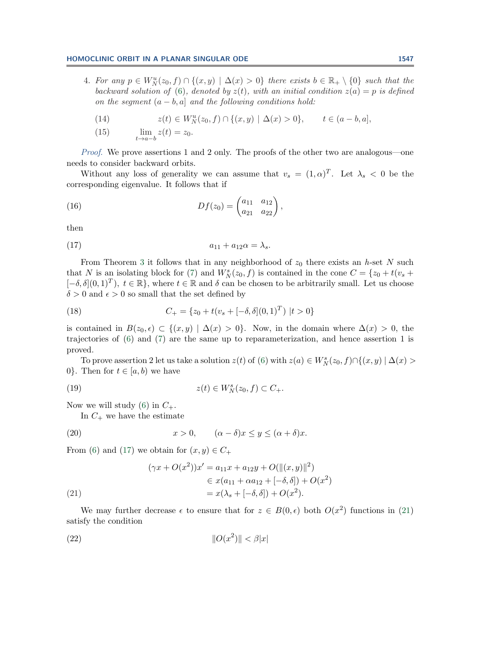#### **HOMOCLINIC ORBIT IN A PLANAR SINGULAR ODE 1547**

4. For any  $p \in W_N^u(z_0, f) \cap \{(x, y) \mid \Delta(x) > 0\}$  there exists  $b \in \mathbb{R}_+ \setminus \{0\}$  such that the backward solution of [\(6\)](#page-5-3), denoted by  $z(t)$ , with an initial condition  $z(a) = p$  is defined *on the seqment*  $(a - b, a]$  *and the following conditions hold:* 

(14) 
$$
z(t) \in W_N^u(z_0, f) \cap \{(x, y) \mid \Delta(x) > 0\}, \qquad t \in (a - b, a],
$$

(15)  $\lim_{t \to a-b} z(t) = z_0.$ 

*Proof.* We prove assertions 1 and 2 only. The proofs of the other two are analogous—one needs to consider backward orbits.

Without any loss of generality we can assume that  $v_s = (1, \alpha)^T$ . Let  $\lambda_s < 0$  be the corresponding eigenvalue. It follows that if

(16) 
$$
Df(z_0) = \begin{pmatrix} a_{11} & a_{12} \\ a_{21} & a_{22} \end{pmatrix},
$$

<span id="page-6-0"></span>then

(17) 
$$
a_{11} + a_{12}\alpha = \lambda_s.
$$

From Theorem [3](#page-10-1) it follows that in any neighborhood of  $z_0$  there exists an *h*-set N such that N is an isolating block for [\(7\)](#page-5-2) and  $\hat{W}_N^s(z_0, t)$  is contained in the cone  $C = \{z_0 + t(v_s + t_0)\}$  $[-\delta, \delta](0, 1)^T$ ,  $t \in \mathbb{R}$ , where  $t \in \mathbb{R}$  and  $\delta$  can be chosen to be arbitrarily small. Let us choose  $\delta > 0$  and  $\epsilon > 0$  so small that the set defined by

(18) 
$$
C_{+} = \{z_{0} + t(v_{s} + [-\delta, \delta](0, 1)^{T}) | t > 0\}
$$

is contained in  $B(z_0, \epsilon) \subset \{(x, y) | \Delta(x) > 0\}$ . Now, in the domain where  $\Delta(x) > 0$ , the trajectories of [\(6\)](#page-5-3) and [\(7\)](#page-5-2) are the same up to reparameterization, and hence assertion 1 is proved.

To prove assertion 2 let us take a solution  $z(t)$  of [\(6\)](#page-5-3) with  $z(a) \in W_N^s(z_0, f) \cap \{(x, y) | \Delta(x) >$ 0. Then for  $t \in [a, b)$  we have

(19) 
$$
z(t) \in W_N^s(z_0, f) \subset C_+.
$$

Now we will study [\(6\)](#page-5-3) in  $C_+$ .

In  $C_{+}$  we have the estimate

(20) 
$$
x > 0, \qquad (\alpha - \delta)x \le y \le (\alpha + \delta)x.
$$

From [\(6\)](#page-5-3) and [\(17\)](#page-6-0) we obtain for  $(x, y) \in C_+$ 

<span id="page-6-1"></span>(21)  
\n
$$
(\gamma x + O(x^{2}))x' = a_{11}x + a_{12}y + O(\|(x, y)\|^{2})
$$
\n
$$
\in x(a_{11} + \alpha a_{12} + [-\delta, \delta]) + O(x^{2})
$$
\n
$$
= x(\lambda_{s} + [-\delta, \delta]) + O(x^{2}).
$$

We may further decrease  $\epsilon$  to ensure that for  $z \in B(0, \epsilon)$  both  $O(x^2)$  functions in [\(21\)](#page-6-1) satisfy the condition

<span id="page-6-2"></span>(22) O(x2) < β|x|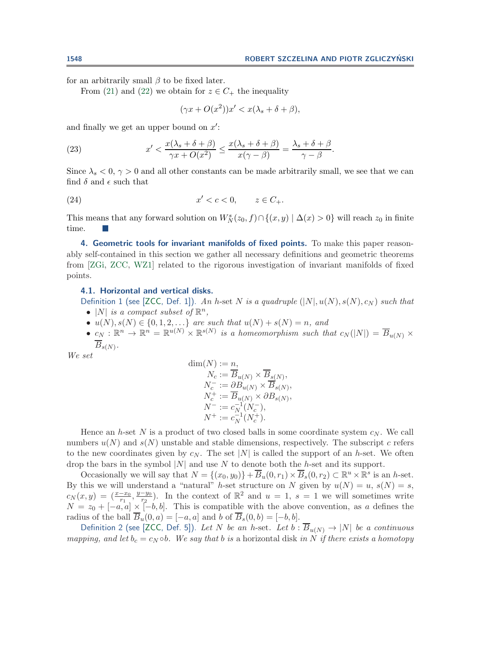for an arbitrarily small  $\beta$  to be fixed later.

From [\(21\)](#page-6-1) and [\(22\)](#page-6-2) we obtain for  $z \in C_+$  the inequality

$$
(\gamma x + O(x^2))x' < x(\lambda_s + \delta + \beta),
$$

and finally we get an upper bound on  $x'$ :

(23) 
$$
x' < \frac{x(\lambda_s + \delta + \beta)}{\gamma x + O(x^2)} \le \frac{x(\lambda_s + \delta + \beta)}{x(\gamma - \beta)} = \frac{\lambda_s + \delta + \beta}{\gamma - \beta}.
$$

Since  $\lambda_s < 0$ ,  $\gamma > 0$  and all other constants can be made arbitrarily small, we see that we can find  $\delta$  and  $\epsilon$  such that

$$
(24) \t\t x' < c < 0, \t z \in C_+.
$$

This means that any forward solution on  $W_N^s(z_0, f) \cap \{(x, y) | \Delta(x) > 0\}$  will reach  $z_0$  in finite time.

<span id="page-7-0"></span>**4. Geometric tools for invariant manifolds of fixed points.** To make this paper reasonably self-contained in this section we gather all necessary definitions and geometric theorems from [\[ZGi,](#page-24-5) [ZCC,](#page-24-0) [WZ1\]](#page-24-1) related to the rigorous investigation of invariant manifolds of fixed points.

### <span id="page-7-1"></span>**4.1. Horizontal and vertical disks.**

Definition 1 (see [\[ZCC,](#page-24-0) Def. 1]). *An* h-set N *is a quadruple*  $(|N|, u(N), s(N), c_N)$  *such that* •  $|N|$  *is a compact subset of*  $\mathbb{R}^n$ ,

- $u(N), s(N) \in \{0, 1, 2, \ldots\}$  are such that  $u(N) + s(N) = n$ , and
- $c_N : \mathbb{R}^n \to \mathbb{R}^n = \mathbb{R}^{u(N)} \times \mathbb{R}^{s(N)}$  is a homeomorphism such that  $c_N(|N|) = \overline{B}_{u(N)} \times$  $\overline{B}_{s(N)}$ .

*We set*

$$
\begin{aligned} \dim(N) &:= n, \\ N_c &:= \overline{B}_{u(N)} \times \overline{B}_{s(N)}, \\ N_c^- &:= \partial B_{u(N)} \times \overline{B}_{s(N)}, \\ N_c^+ &:= \overline{B}_{u(N)} \times \partial B_{s(N)}, \\ N^- &:= c_N^{-1}(N_c^-), \\ N^+ &:= c_N^{-1}(N_c^+). \end{aligned}
$$

Hence an h-set N is a product of two closed balls in some coordinate system  $c_N$ . We call numbers  $u(N)$  and  $s(N)$  unstable and stable dimensions, respectively. The subscript c refers to the new coordinates given by  $c_N$ . The set |N| is called the support of an h-set. We often drop the bars in the symbol  $|N|$  and use N to denote both the h-set and its support.

Occasionally we will say that  $N = \{(x_0, y_0)\} + \overline{B}_u(0, r_1) \times \overline{B}_s(0, r_2) \subset \mathbb{R}^u \times \mathbb{R}^s$  is an h-set. By this we will understand a "natural" h-set structure on N given by  $u(N) = u$ ,  $s(N) = s$ ,  $c_N(x,y)=(\frac{x-x_0}{r_1},\frac{y-y_0}{r_2})$ . In the context of  $\mathbb{R}^2$  and  $u=1$ ,  $s=1$  we will sometimes write  $N = z_0 + [-a, a] \times [-b, b]$ . This is compatible with the above convention, as a defines the radius of the ball  $\overline{B}_u(0, a)=[-a, a]$  and b of  $\overline{B}_s(0, b)=[-b, b]$ .

Definition 2 (see [\[ZCC,](#page-24-0) Def. 5]). Let N be an h-set. Let  $b : \overline{B}_{u(N)} \to |N|$  be a continuous *mapping, and let*  $b_c = c_N \circ b$ *. We say that* b *is* a horizontal disk *in* N *if there exists a homotopy*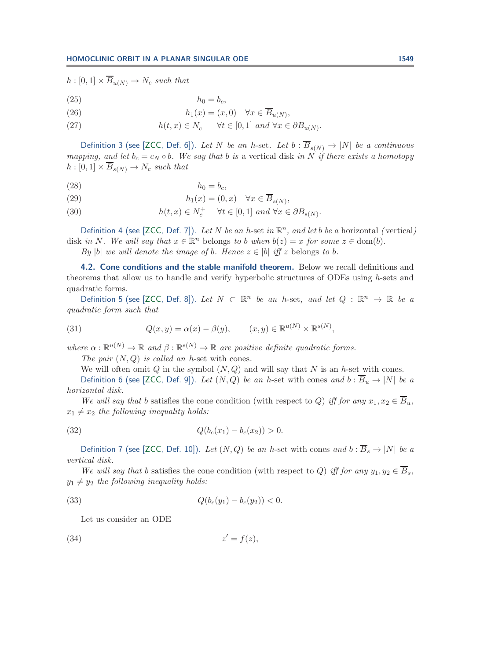$h : [0,1] \times \overline{B}_{u(N)} \to N_c$  such that

$$
(25) \t\t\t\t h_0 = b_c,
$$

(26) 
$$
h_1(x) = (x, 0) \quad \forall x \in \overline{B}_{u(N)},
$$

(27)  $h(t, x) \in N_c^- \quad \forall t \in [0, 1] \text{ and } \forall x \in \partial B_{u(N)}.$ 

Definition 3 (see [\[ZCC,](#page-24-0) Def. 6]). Let N be an h-set. Let  $b : \overline{B}_{s(N)} \to |N|$  be a continuous *mapping, and let*  $b_c = c_N \circ b$ *. We say that* b *is* a vertical disk *in* N *if there exists a homotopy*  $h : [0,1] \times \overline{B}_{s(N)} \to N_c$  such that

$$
(28) \t\t\t\t\t h_0 = b_c,
$$

(29) 
$$
h_1(x) = (0, x) \quad \forall x \in \overline{B}_{s(N)},
$$

(30)  $h(t, x) \in N_c^+ \quad \forall t \in [0, 1] \text{ and } \forall x \in \partial B_{s(N)}.$ 

Definition 4 (see [\[ZCC,](#page-24-0) Def. 7]). Let N be an h-set in  $\mathbb{R}^n$ , and let b be a horizontal (vertical) disk *in* N. We will say that  $x \in \mathbb{R}^n$  belongs to b when  $b(z) = x$  for some  $z \in \text{dom}(b)$ .

*By*  $|b|$  *we will denote the image of b. Hence*  $z \in |b|$  *iff* z belongs to b.

**4.2. Cone conditions and the stable manifold theorem.** Below we recall definitions and theorems that allow us to handle and verify hyperbolic structures of ODEs using h-sets and quadratic forms.

Definition 5 (see [\[ZCC,](#page-24-0) Def. 8]). *Let*  $N \subset \mathbb{R}^n$  *be an h*-set, and let  $Q : \mathbb{R}^n \to \mathbb{R}$  *be a quadratic form such that*

(31) 
$$
Q(x,y) = \alpha(x) - \beta(y), \qquad (x,y) \in \mathbb{R}^{u(N)} \times \mathbb{R}^{s(N)},
$$

*where*  $\alpha : \mathbb{R}^{u(N)} \to \mathbb{R}$  *and*  $\beta : \mathbb{R}^{s(N)} \to \mathbb{R}$  *are positive definite quadratic forms.* 

*The pair* (N,Q) *is called an* h-set with cones*.*

We will often omit Q in the symbol  $(N,Q)$  and will say that N is an h-set with cones.

Definition 6 (see [\[ZCC,](#page-24-0) Def. 9]). Let  $(N,Q)$  be an h-set with cones and  $b : \overline{B}_u \to |N|$  be a *horizontal disk.*

*We will say that* b satisfies the cone condition (with respect to Q) *iff for any*  $x_1, x_2 \in \overline{B}_u$ ,  $x_1 \neq x_2$  the following inequality holds:

(32) 
$$
Q(b_c(x_1) - b_c(x_2)) > 0.
$$

Definition 7 (see [\[ZCC,](#page-24-0) Def. 10]). *Let*  $(N, Q)$  *be an h*-set with cones *and*  $b : \overline{B}_s \to |N|$  *be a vertical disk.*

*We will say that* b satisfies the cone condition (with respect to Q) *iff for any*  $y_1, y_2 \in \overline{B}_s$ ,  $y_1 \neq y_2$  the following inequality holds:

(33) 
$$
Q(b_c(y_1) - b_c(y_2)) < 0.
$$

<span id="page-8-0"></span>Let us consider an ODE

$$
(34) \t\t\t z' = f(z),
$$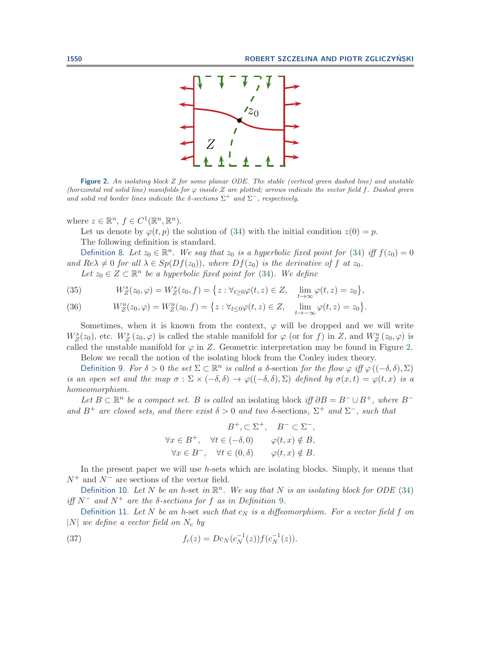

<span id="page-9-1"></span>**Figure 2.** *An isolating block* Z *for some planar ODE. The stable (vertical green dashed line) and unstable (horizontal red solid line) manifolds for*  $\varphi$  *inside* Z are plotted; arrows indicate the vector field f. Dashed green *and solid red border lines indicate the*  $\delta$ -sections  $\Sigma^+$  *and*  $\Sigma^-$ *, respectively.* 

where  $z \in \mathbb{R}^n$ ,  $f \in C^1(\mathbb{R}^n, \mathbb{R}^n)$ .

Let us denote by  $\varphi(t, p)$  the solution of [\(34\)](#page-8-0) with the initial condition  $z(0) = p$ . The following definition is standard.

<span id="page-9-0"></span>Definition 8. Let  $z_0 \in \mathbb{R}^n$ . We say that  $z_0$  is a hyperbolic fixed point for [\(34\)](#page-8-0) iff  $f(z_0)=0$ *and*  $Re\lambda \neq 0$  *for all*  $\lambda \in Sp(Df(z_0))$ *, where*  $Df(z_0)$  *is the derivative of* f *at*  $z_0$ *.* 

*Let*  $z_0 \in Z \subset \mathbb{R}^n$  *be a hyperbolic fixed point for* [\(34\)](#page-8-0)*. We define* 

(35) 
$$
W_Z^s(z_0,\varphi)=W_Z^s(z_0,f)=\big\{z:\forall_{t\geq 0}\varphi(t,z)\in Z,\quad \lim_{t\to\infty}\varphi(t,z)=z_0\big\},
$$

(36) 
$$
W_Z^u(z_0, \varphi) = W_Z^u(z_0, f) = \{ z : \forall_{t \le 0} \varphi(t, z) \in Z, \quad \lim_{t \to -\infty} \varphi(t, z) = z_0 \}.
$$

Sometimes, when it is known from the context,  $\varphi$  will be dropped and we will write  $W_Z^s(z_0)$ , etc.  $W_Z^s(z_0, \varphi)$  is called the stable manifold for  $\varphi$  (or for f) in Z, and  $W_Z^u(z_0, \varphi)$  is called the unstable manifold for  $\varphi$  in Z. Geometric interpretation may be found in Figure [2.](#page-9-1)

Below we recall the notion of the isolating block from the Conley index theory.

<span id="page-9-2"></span>Definition 9. For  $\delta > 0$  the set  $\Sigma \subset \mathbb{R}^n$  is called a  $\delta$ -section for the flow  $\varphi$  *iff*  $\varphi((-\delta,\delta),\Sigma)$ *is an open set and the map*  $\sigma : \Sigma \times (-\delta, \delta) \to \varphi((-\delta, \delta), \Sigma)$  *defined by*  $\sigma(x, t) = \varphi(t, x)$  *is a homeomorphism.*

*Let*  $B \subset \mathbb{R}^n$  *be a compact set.* B *is called* an isolating block *iff*  $\partial B = B^- \cup B^+$ *, where*  $B^$ *and*  $B^+$  *are closed sets, and there exist*  $\delta > 0$  *and two*  $\delta$ -sections,  $\Sigma^+$  *and*  $\Sigma^-$ *, such that* 

$$
B^+, \subset \Sigma^+, \quad B^- \subset \Sigma^-,
$$
  
\n
$$
\forall x \in B^+, \quad \forall t \in (-\delta, 0) \qquad \varphi(t, x) \notin B,
$$
  
\n
$$
\forall x \in B^-, \quad \forall t \in (0, \delta) \qquad \varphi(t, x) \notin B.
$$

In the present paper we will use h-sets which are isolating blocks. Simply, it means that  $N^+$  and  $N^-$  are sections of the vector field.

Definition 10. Let N be an h-set in  $\mathbb{R}^n$ . We say that N is an isolating block for ODE [\(34\)](#page-8-0)  $if$   $N^-$  and  $N^+$  are the  $\delta$ -sections for f as in Definition [9](#page-9-2).

Definition 11. Let N be an h-set *such that*  $c_N$  *is a diffeomorphism. For a vector field* f on  $|N|$  *we define a vector field on*  $N_c$  *by* 

(37) 
$$
f_c(z) = D c_N(c_N^{-1}(z)) f(c_N^{-1}(z)).
$$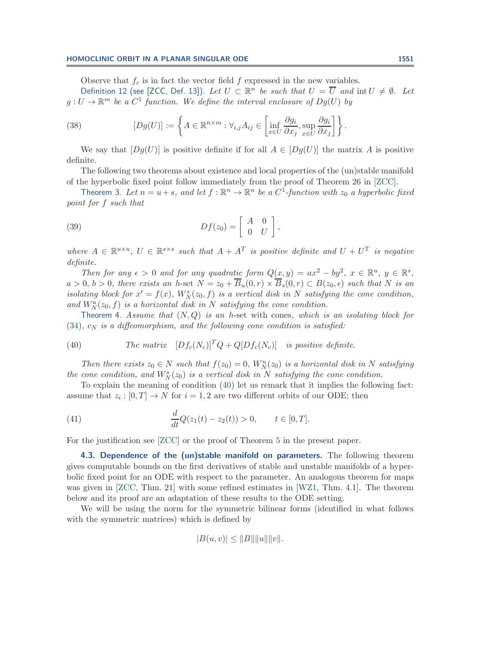Observe that  $f_c$  is in fact the vector field f expressed in the new variables.

Definition 12 (see [\[ZCC,](#page-24-0) Def. 13]). Let  $U \subset \mathbb{R}^n$  be such that  $U = \overline{U}$  and  $\text{int } U \neq \emptyset$ . Let  $g: U \to \mathbb{R}^m$  *be a*  $C^1$  *function. We define the interval enclosure of*  $Dg(U)$  *by* 

(38) 
$$
[Dg(U)] := \left\{ A \in \mathbb{R}^{n \times m} : \forall_{i,j} A_{ij} \in \left[ \inf_{x \in U} \frac{\partial g_i}{\partial x_j}, \sup_{x \in U} \frac{\partial g_i}{\partial x_j} \right] \right\}.
$$

We say that  $[Dg(U)]$  is positive definite if for all  $A \in [Dg(U)]$  the matrix A is positive definite.

The following two theorems about existence and local properties of the (un)stable manifold of the hyperbolic fixed point follow immediately from the proof of Theorem 26 in [\[ZCC\]](#page-24-0).

<span id="page-10-1"></span>Theorem 3. Let  $n = u + s$ , and let  $f : \mathbb{R}^n \to \mathbb{R}^n$  be a  $C^1$ -function with  $z_0$  a hyperbolic fixed *point for* f *such that*

(39) 
$$
Df(z_0) = \begin{bmatrix} A & 0 \\ 0 & U \end{bmatrix},
$$

*where*  $A \in \mathbb{R}^{u \times u}$ ,  $U \in \mathbb{R}^{s \times s}$  *such that*  $A + A^T$  *is positive definite and*  $U + U^T$  *is negative definite.*

*Then for any*  $\epsilon > 0$  *and for any quadratic form*  $Q(x, y) = ax^2 - by^2$ ,  $x \in \mathbb{R}^u$ ,  $y \in \mathbb{R}^s$ ,  $a > 0, b > 0$ , there exists an h-set  $N = z_0 + B_u(0,r) \times B_s(0,r) \subset B(z_0, \epsilon)$  such that N is an *isolating block for*  $x' = f(x)$ ,  $W_N^s(z_0, f)$  *is a vertical disk in* N *satisfying the cone condition*, and  $W_N^u(z_0, f)$  is a horizontal disk in N satisfying the cone condition.

<span id="page-10-0"></span>Theorem 4. *Assume that* (N,Q) *is an* <sup>h</sup>-set with cones*, which is an isolating block for*  $(34)$ ,  $c_N$  *is a diffeomorphism, and the following cone condition is satisfied:* 

(40) The matrix 
$$
[Df_c(N_c)]^T Q + Q[Df_c(N_c)]
$$
 is positive definite.

*Then there exists*  $z_0 \in N$  *such that*  $f(z_0) = 0$ ,  $W_N^u(z_0)$  *is a horizontal disk in* N *satisfying* the cone condition, and  $W_N^s(z_0)$  is a vertical disk in N satisfying the cone condition.

To explain the meaning of condition [\(40\)](#page-10-2) let us remark that it implies the following fact: assume that  $z_i : [0, T] \to N$  for  $i = 1, 2$  are two different orbits of our ODE; then

(41) 
$$
\frac{d}{dt}Q(z_1(t) - z_2(t)) > 0, \qquad t \in [0, T].
$$

For the justification see [\[ZCC\]](#page-24-0) or the proof of Theorem [5](#page-11-0) in the present paper.

**4.3. Dependence of the (un)stable manifold on parameters.** The following theorem gives computable bounds on the first derivatives of stable and unstable manifolds of a hyperbolic fixed point for an ODE with respect to the parameter. An analogous theorem for maps was given in [\[ZCC,](#page-24-0) Thm. 21] with some refined estimates in [\[WZ1,](#page-24-1) Thm. 4.1]. The theorem below and its proof are an adaptation of these results to the ODE setting.

We will be using the norm for the symmetric bilinear forms (identified in what follows with the symmetric matrices) which is defined by

<span id="page-10-2"></span>
$$
|B(u, v)| \leq ||B|| ||u|| ||v||.
$$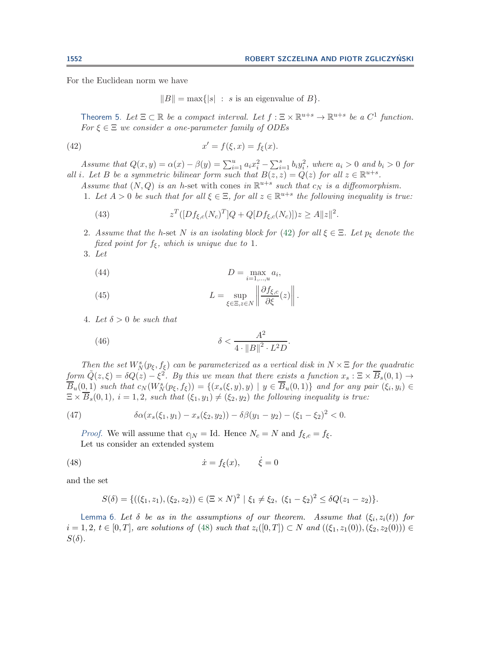For the Euclidean norm we have

<span id="page-11-1"></span> $||B|| = \max{ |s| : s \text{ is an eigenvalue of } B }$ .

<span id="page-11-0"></span>Theorem 5. Let  $\Xi \subset \mathbb{R}$  *be a compact interval. Let*  $f : \Xi \times \mathbb{R}^{u+s} \to \mathbb{R}^{u+s}$  *be a*  $C^1$  *function. For* ξ ∈ Ξ *we consider a one-parameter family of ODEs*

(42) 
$$
x' = f(\xi, x) = f_{\xi}(x).
$$

*Assume that*  $Q(x, y) = \alpha(x) - \beta(y) = \sum_{i=1}^{u} a_i x_i^2 - \sum_{i=1}^{s} b_i y_i^2$ , where  $a_i > 0$  and  $b_i > 0$  for *all i. Let* B *be a symmetric bilinear form such that*  $B(z, z) = Q(z)$  *for all*  $z \in \mathbb{R}^{u+s}$ *.* 

- *Assume that*  $(N, Q)$  *is an h*-set with cones *in*  $\mathbb{R}^{u+s}$  *such that*  $c_N$  *is a diffeomorphism.*
- 1. Let  $A > 0$  be such that for all  $\xi \in \Xi$ , for all  $z \in \mathbb{R}^{u+s}$  the following inequality is true:

(43) 
$$
z^T([Df_{\xi,c}(N_c)^T]Q + Q[Df_{\xi,c}(N_c)])z \ge A||z||^2.
$$

- 2. Assume that the h-set N is an isolating block for [\(42\)](#page-11-1) for all  $\xi \in \Xi$ . Let  $p_{\xi}$  denote the *fixed point for*  $f_{\xi}$ *, which is unique due to* 1*.*
- 3. *Let*

$$
(44) \t\t D = \max_{i=1,\dots,u} a_i,
$$

(45) 
$$
L = \sup_{\xi \in \Xi, z \in N} \left\| \frac{\partial f_{\xi,c}}{\partial \xi}(z) \right\|.
$$

4. Let  $\delta > 0$  be such that

<span id="page-11-4"></span>(46) 
$$
\delta < \frac{A^2}{4 \cdot \|B\|^2 \cdot L^2 D}.
$$

*Then the set*  $W_N^s(p_\xi, f_\xi)$  *can be parameterized as a vertical disk in*  $N \times \Xi$  *for the quadratic form*  $\tilde{Q}(z,\xi) = \delta Q(z) - \xi^2$ . By this we mean that there exists a function  $x_s : \Xi \times \overline{B}_s(0,1) \to$  $\overline{B}_u(0,1)$  *such that*  $c_N(W_N^s(p_\xi, f_\xi)) = \{(x_s(\xi, y), y) \mid y \in \overline{B}_u(0,1)\}\$  *and for any pair*  $(\xi_i, y_i) \in$  $\Xi \times \overline{B}_s(0,1), i = 1,2$ , such that  $(\xi_1, y_1) \neq (\xi_2, y_2)$  the following inequality is true:

(47) 
$$
\delta \alpha(x_s(\xi_1, y_1) - x_s(\xi_2, y_2)) - \delta \beta(y_1 - y_2) - (\xi_1 - \xi_2)^2 < 0.
$$

*Proof.* We will assume that  $c_{|N} = \text{Id}$ . Hence  $N_c = N$  and  $f_{\xi,c} = f_{\xi}$ . Let us consider an extended system

(48) 
$$
\dot{x} = f_{\xi}(x), \qquad \dot{\xi} = 0
$$

and the set

<span id="page-11-2"></span>
$$
S(\delta) = \{((\xi_1, z_1), (\xi_2, z_2)) \in (\Xi \times N)^2 \mid \xi_1 \neq \xi_2, \ (\xi_1 - \xi_2)^2 \leq \delta Q(z_1 - z_2)\}.
$$

<span id="page-11-3"></span>Lemma 6. Let  $\delta$  *be as in the assumptions of our theorem. Assume that*  $(\xi_i, z_i(t))$  *for*  $i = 1, 2, t ∈ [0, T]$ , are solutions of [\(48\)](#page-11-2) such that  $z_i([0, T]) ⊂ N$  and  $((ξ_1, z_1(0)), (ξ_2, z_2(0))) ∈$  $S(\delta)$ .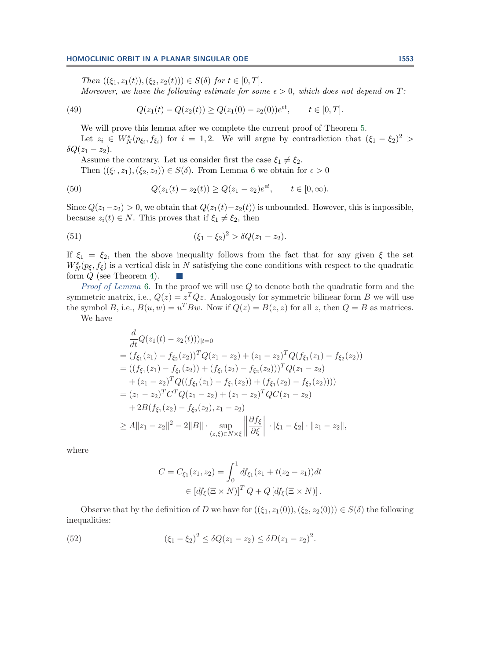<span id="page-12-0"></span>*Then*  $((\xi_1, z_1(t)),(\xi_2, z_2(t))) \in S(\delta)$  *for*  $t \in [0, T]$ *. Moreover, we have the following estimate for some*  $\epsilon > 0$ *, which does not depend on* T:

(49) 
$$
Q(z_1(t) - Q(z_2(t)) \ge Q(z_1(0) - z_2(0))e^{\epsilon t}, \qquad t \in [0, T].
$$

We will prove this lemma after we complete the current proof of Theorem [5.](#page-11-0)

Let  $z_i \in W^s_N(p_{\xi_i}, f_{\xi_i})$  for  $i = 1, 2$ . We will argue by contradiction that  $(\xi_1 - \xi_2)^2$  $\delta Q(z_1-z_2).$ 

Assume the contrary. Let us consider first the case  $\xi_1 \neq \xi_2$ .

Then  $((\xi_1, z_1), (\xi_2, z_2)) \in S(\delta)$ . From Lemma [6](#page-11-3) we obtain for  $\epsilon > 0$ 

(50) 
$$
Q(z_1(t) - z_2(t)) \ge Q(z_1 - z_2)e^{\epsilon t}, \quad t \in [0, \infty).
$$

Since  $Q(z_1-z_2) > 0$ , we obtain that  $Q(z_1(t)-z_2(t))$  is unbounded. However, this is impossible, because  $z_i(t) \in N$ . This proves that if  $\xi_1 \neq \xi_2$ , then

(51) 
$$
(\xi_1 - \xi_2)^2 > \delta Q(z_1 - z_2).
$$

If  $\xi_1 = \xi_2$ , then the above inequality follows from the fact that for any given  $\xi$  the set  $W_N^s(p_{\xi}, f_{\xi})$  is a vertical disk in N satisfying the cone conditions with respect to the quadratic form  $Q$  (see Theorem [4\)](#page-10-0).

*Proof of Lemma* [6.](#page-11-3) In the proof we will use Q to denote both the quadratic form and the symmetric matrix, i.e.,  $Q(z) = z^T Q z$ . Analogously for symmetric bilinear form B we will use the symbol B, i.e.,  $B(u, w) = u^T B w$ . Now if  $Q(z) = B(z, z)$  for all z, then  $Q = B$  as matrices.

We have

$$
\frac{d}{dt}Q(z_1(t) - z_2(t)))|_{t=0}
$$
\n=  $(f_{\xi_1}(z_1) - f_{\xi_2}(z_2))^T Q(z_1 - z_2) + (z_1 - z_2)^T Q(f_{\xi_1}(z_1) - f_{\xi_2}(z_2))$   
\n=  $((f_{\xi_1}(z_1) - f_{\xi_1}(z_2)) + (f_{\xi_1}(z_2) - f_{\xi_2}(z_2)))^T Q(z_1 - z_2)$   
\n+  $(z_1 - z_2)^T Q((f_{\xi_1}(z_1) - f_{\xi_1}(z_2)) + (f_{\xi_1}(z_2) - f_{\xi_2}(z_2))))$   
\n=  $(z_1 - z_2)^T C^T Q(z_1 - z_2) + (z_1 - z_2)^T Q C(z_1 - z_2)$   
\n+  $2B(f_{\xi_1}(z_2) - f_{\xi_2}(z_2), z_1 - z_2)$   
\n $\ge A||z_1 - z_2||^2 - 2||B|| \cdot \sup_{(z,\xi) \in N \times \xi} \left\| \frac{\partial f_{\xi}}{\partial \xi} \right\| \cdot |\xi_1 - \xi_2| \cdot ||z_1 - z_2||,$ 

where

$$
C = C_{\xi_1}(z_1, z_2) = \int_0^1 df_{\xi_1}(z_1 + t(z_2 - z_1)) dt
$$
  
 
$$
\in [df_{\xi}(\Xi \times N)]^T Q + Q [df_{\xi}(\Xi \times N)].
$$

Observe that by the definition of D we have for  $((\xi_1, z_1(0)),(\xi_2, z_2(0))) \in S(\delta)$  the following inequalities:

(52) 
$$
(\xi_1 - \xi_2)^2 \leq \delta Q(z_1 - z_2) \leq \delta D(z_1 - z_2)^2.
$$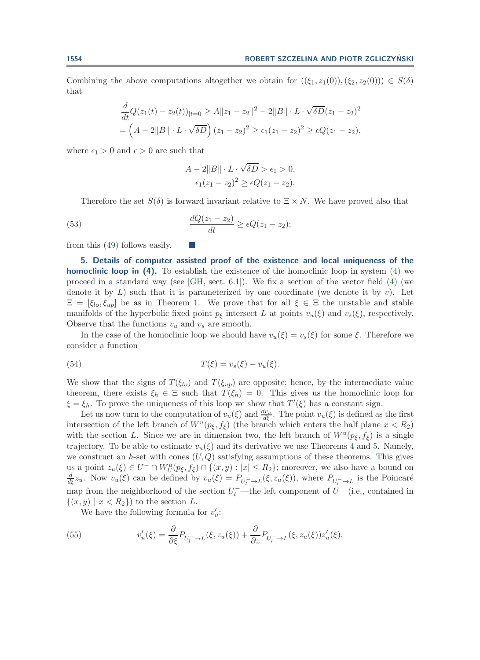Combining the above computations altogether we obtain for  $((\xi_1, z_1(0)),(\xi_2, z_2(0))) \in S(\delta)$ that

$$
\frac{d}{dt}Q(z_1(t) - z_2(t))_{|t=0} \ge A ||z_1 - z_2||^2 - 2||B|| \cdot L \cdot \sqrt{\delta D}(z_1 - z_2)^2
$$
  
=  $(A - 2||B|| \cdot L \cdot \sqrt{\delta D})(z_1 - z_2)^2 \ge \epsilon_1(z_1 - z_2)^2 \ge \epsilon Q(z_1 - z_2),$ 

where  $\epsilon_1 > 0$  and  $\epsilon > 0$  are such that

$$
A - 2||B|| \cdot L \cdot \sqrt{\delta D} > \epsilon_1 > 0,
$$
  

$$
\epsilon_1(z_1 - z_2)^2 \ge \epsilon Q(z_1 - z_2).
$$

Therefore the set  $S(\delta)$  is forward invariant relative to  $\Xi \times N$ . We have proved also that

(53) 
$$
\frac{dQ(z_1 - z_2)}{dt} \ge \epsilon Q(z_1 - z_2);
$$

 $\mathbb{R}^n$ 

<span id="page-13-0"></span>from this [\(49\)](#page-12-0) follows easily.

**5. Details of computer assisted proof of the existence and local uniqueness of the homoclinic loop in [\(4\)](#page-4-0).** To establish the existence of the homoclinic loop in system [\(4\)](#page-4-0) we proceed in a standard way (see [\[GH,](#page-23-1) sect. 6.1]). We fix a section of the vector field [\(4\)](#page-4-0) (we denote it by  $L$ ) such that it is parameterized by one coordinate (we denote it by  $v$ ). Let  $\Xi=[\xi_{lo}, \xi_{up}]$  be as in Theorem [1.](#page-2-0) We prove that for all  $\xi \in \Xi$  the unstable and stable manifolds of the hyperbolic fixed point  $p<sub>\xi</sub>$  intersect L at points  $v_u(\xi)$  and  $v_s(\xi)$ , respectively. Observe that the functions  $v_u$  and  $v_s$  are smooth.

In the case of the homoclinic loop we should have  $v_u(\xi) = v_s(\xi)$  for some  $\xi$ . Therefore we consider a function

(54) 
$$
T(\xi) = v_s(\xi) - v_u(\xi).
$$

We show that the signs of  $T(\xi_{lo})$  and  $T(\xi_{up})$  are opposite; hence, by the intermediate value theorem, there exists  $\xi_h \in \Xi$  such that  $T(\xi_h) = 0$ . This gives us the homoclinic loop for  $\xi = \xi_h$ . To prove the uniqueness of this loop we show that  $T'(\xi)$  has a constant sign.

Let us now turn to the computation of  $v_u(\xi)$  and  $\frac{dv_u}{d\xi}$ . The point  $v_u(\xi)$  is defined as the first intersection of the left branch of  $W^u(p_{\xi}, f_{\xi})$  (the branch which enters the half plane  $x < R_2$ ) with the section L. Since we are in dimension two, the left branch of  $W^u(p_\xi, f_\xi)$  is a single trajectory. To be able to estimate  $v_u(\xi)$  and its derivative we use Theorems [4](#page-10-0) and [5.](#page-11-0) Namely, we construct an h-set with cones  $(U, Q)$  satisfying assumptions of these theorems. This gives us a point  $z_u(\xi) \in U^- \cap W_U^u(p_\xi, f_\xi) \cap \{(x, y) : |x| \leq R_2\}$ ; moreover, we also have a bound on  $\frac{d}{d\xi}z_u$ . Now  $v_u(\xi)$  can be defined by  $v_u(\xi) = P_{U_l^- \to L}(\xi, z_u(\xi))$ , where  $P_{U_l^- \to L}$  is the Poincaré map from the neighborhood of the section  $U_l^-$ —the left component of  $U^-$  (i.e., contained in  $\{(x, y) \mid x < R_2\}$  to the section L.

<span id="page-13-1"></span>We have the following formula for  $v'_u$ :

(55) 
$$
v'_u(\xi) = \frac{\partial}{\partial \xi} P_{U_l^- \to L}(\xi, z_u(\xi)) + \frac{\partial}{\partial z} P_{U_l^- \to L}(\xi, z_u(\xi)) z'_u(\xi).
$$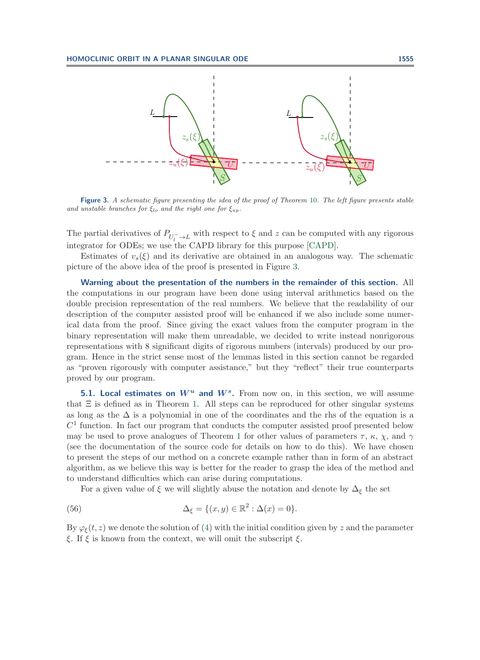

<span id="page-14-0"></span>**Figure 3.** *A schematic figure presenting the idea of the proof of Theorem* [10](#page-19-0)*. The left figure presents stable and unstable branches for*  $\xi_{lo}$  *and the right one for*  $\xi_{up}$ *.* 

The partial derivatives of  $P_{U_l^- \to L}$  with respect to  $\xi$  and z can be computed with any rigorous integrator for ODEs; we use the CAPD library for this purpose [\[CAPD\]](#page-23-21).

Estimates of  $v_s(\xi)$  and its derivative are obtained in an analogous way. The schematic picture of the above idea of the proof is presented in Figure [3.](#page-14-0)

**Warning about the presentation of the numbers in the remainder of this section.** All the computations in our program have been done using interval arithmetics based on the double precision representation of the real numbers. We believe that the readability of our description of the computer assisted proof will be enhanced if we also include some numerical data from the proof. Since giving the exact values from the computer program in the binary representation will make them unreadable, we decided to write instead nonrigorous representations with 8 significant digits of rigorous numbers (intervals) produced by our program. Hence in the strict sense most of the lemmas listed in this section cannot be regarded as "proven rigorously with computer assistance," but they "reflect" their true counterparts proved by our program.

**5.1. Local estimates on** *W<sup>u</sup>* **and** *Ws***.** From now on, in this section, we will assume that  $\Xi$  is defined as in Theorem [1.](#page-2-0) All steps can be reproduced for other singular systems as long as the  $\Delta$  is a polynomial in one of the coordinates and the rhs of the equation is a  $C<sup>1</sup>$  function. In fact our program that conducts the computer assisted proof presented below may be used to prove analogues of Theorem [1](#page-2-0) for other values of parameters  $\tau$ ,  $\kappa$ ,  $\chi$ , and  $\gamma$ (see the documentation of the source code for details on how to do this). We have chosen to present the steps of our method on a concrete example rather than in form of an abstract algorithm, as we believe this way is better for the reader to grasp the idea of the method and to understand difficulties which can arise during computations.

For a given value of  $\xi$  we will slightly abuse the notation and denote by  $\Delta_{\xi}$  the set

(56) 
$$
\Delta_{\xi} = \{(x, y) \in \mathbb{R}^2 : \Delta(x) = 0\}.
$$

By  $\varphi_{\xi}(t, z)$  we denote the solution of [\(4\)](#page-4-0) with the initial condition given by z and the parameter ξ. If  $\xi$  is known from the context, we will omit the subscript  $\xi$ .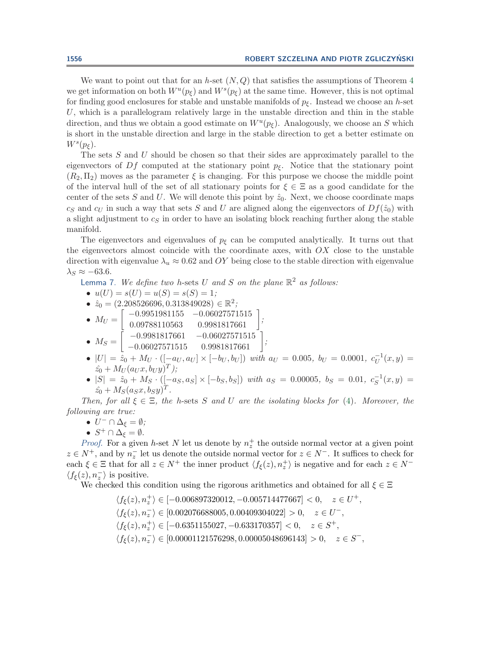We want to point out that for an *h*-set  $(N,Q)$  that satisfies the assumptions of Theorem [4](#page-10-0) we get information on both  $W^u(p_{\xi})$  and  $W^s(p_{\xi})$  at the same time. However, this is not optimal for finding good enclosures for stable and unstable manifolds of  $p<sub>\xi</sub>$ . Instead we choose an h-set  $U$ , which is a parallelogram relatively large in the unstable direction and thin in the stable direction, and thus we obtain a good estimate on  $W^u(p_{\xi})$ . Analogously, we choose an S which is short in the unstable direction and large in the stable direction to get a better estimate on  $W^s(p_{\xi}).$ 

The sets S and U should be chosen so that their sides are approximately parallel to the eigenvectors of  $Df$  computed at the stationary point  $p_{\xi}$ . Notice that the stationary point  $(R_2, \Pi_2)$  moves as the parameter  $\xi$  is changing. For this purpose we choose the middle point of the interval hull of the set of all stationary points for  $\xi \in \Xi$  as a good candidate for the center of the sets S and U. We will denote this point by  $\hat{z}_0$ . Next, we choose coordinate maps  $c_S$  and  $c_U$  in such a way that sets S and U are aligned along the eigenvectors of  $Df(\hat{z}_0)$  with a slight adjustment to  $c<sub>S</sub>$  in order to have an isolating block reaching further along the stable manifold.

The eigenvectors and eigenvalues of  $p<sub>\epsilon</sub>$  can be computed analytically. It turns out that the eigenvectors almost coincide with the coordinate axes, with  $OX$  close to the unstable direction with eigenvalue  $\lambda_u \approx 0.62$  and OY being close to the stable direction with eigenvalue  $\lambda_S \approx -63.6$ .

<span id="page-15-0"></span>Lemma 7. *We define two* <sup>h</sup>-sets <sup>U</sup> *and* <sup>S</sup> *on the plane* <sup>R</sup><sup>2</sup> *as follows:*

• 
$$
u(U) = s(U) = u(S) = s(S) = 1;
$$

- $\hat{z}_0 = (2.208526696, 0.313849028) \in \mathbb{R}^2;$
- $M_U = \left[ \begin{array}{cc} -0.9951981155 & -0.06027571515 \ 0.09788110563 & 0.9981817661 \end{array} \right],$
- $M_S = \left[ \begin{array}{cc} -0.9981817661 & -0.06027571515 \ -0.06027571515 & 0.9981817661 \end{array} \right];$
- 
- $|U| = \hat{z}_0 + M_U \cdot ([-a_U, a_U] \times [-b_U, b_U])$  *with*  $a_U = 0.005$ ,  $b_U = 0.0001$ ,  $c_U^{-1}(x, y) =$  $\hat{z_0} + M_U (a_U x, b_U y)^T$  *)*;
- $|S| = \hat{z}_0 + M_S \cdot ([-a_S, a_S] \times [-b_S, b_S])$  *with*  $a_S = 0.00005$ ,  $b_S = 0.01$ ,  $c_S^{-1}(x, y) =$  $\hat{z_0} + M_S(a_Sx, b_Sy)^T$ .

*Then, for all*  $\xi \in \Xi$ *, the h-sets* S *and* U *are the isolating blocks for* [\(4\)](#page-4-0)*. Moreover, the following are true:*

- $U^- \cap \Delta_{\xi} = \emptyset$ ;
- $S^+ \cap \Delta_{\xi} = \emptyset$ .

*Proof.* For a given h-set N let us denote by  $n_z^+$  the outside normal vector at a given point  $z \in N^+$ , and by  $n_z^-$  let us denote the outside normal vector for  $z \in N^-$ . It suffices to check for each  $\xi \in \Xi$  that for all  $z \in N^+$  the inner product  $\langle f_{\xi}(z), n_z^+ \rangle$  is negative and for each  $z \in N^ \langle f_{\xi}(z), n_z^{-} \rangle$  is positive.

We checked this condition using the rigorous arithmetics and obtained for all  $\xi \in \Xi$ 

 $\langle f_{\xi}(z), n_z^{\perp} \rangle \in [-0.006897320012, -0.005714477667] < 0, \quad z \in U^{\perp},$  $\langle f_{\xi}(z), n_z^{-} \rangle \in [0.002076688005, 0.00409304022] > 0, \quad z \in U^{-},$  $\langle f_{\xi}(z), n_z^{\perp} \rangle \in [-0.6351155027, -0.633170357] < 0, \quad z \in S^+,$  $\langle f_{\xi}(z), n_z^{-} \rangle \in [0.00001121576298, 0.00005048696143] > 0, \quad z \in S^{-}$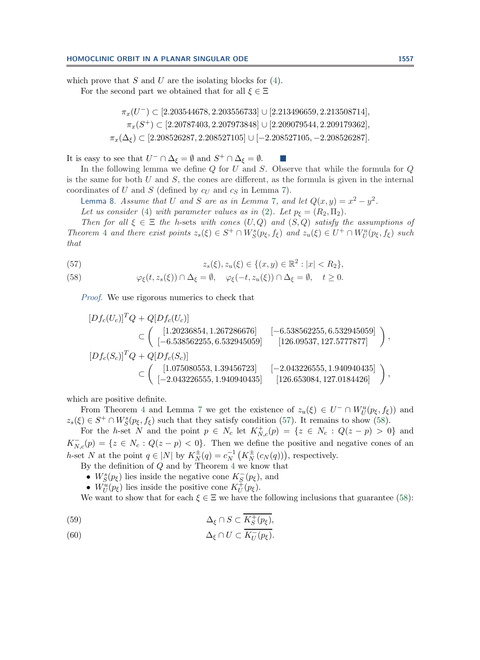which prove that  $S$  and  $U$  are the isolating blocks for  $(4)$ . For the second part we obtained that for all  $\xi \in \Xi$ 

$$
\pi_x(U^-) \subset [2.203544678, 2.203556733] \cup [2.213496659, 2.213508714],
$$
  
\n
$$
\pi_x(S^+) \subset [2.20787403, 2.207973848] \cup [2.209079544, 2.209179362],
$$
  
\n
$$
\pi_x(\Delta_{\xi}) \subset [2.208526287, 2.208527105] \cup [-2.208527105, -2.208526287].
$$

It is easy to see that  $U^- \cap \Delta_{\xi} = \emptyset$  and  $S^+ \cap \Delta_{\xi} = \emptyset$ .

In the following lemma we define  $Q$  for  $U$  and  $S$ . Observe that while the formula for  $Q$ is the same for both  $U$  and  $S$ , the cones are different, as the formula is given in the internal coordinates of U and S (defined by  $c_U$  and  $c_S$  in Lemma [7\)](#page-15-0).

<span id="page-16-0"></span>Lemma 8. *Assume that* U *and* S are as in Lemma [7](#page-15-0), and let  $Q(x, y) = x^2 - y^2$ . *Let us consider* [\(4\)](#page-4-0) *with parameter values as in* [\(2\)](#page-0-1)*. Let*  $p_{\xi} = (R_2, \Pi_2)$ *.* 

*Then for all*  $\xi \in \Xi$  *the h*-sets *with cones*  $(U, Q)$  *and*  $(S, Q)$  *satisfy the assumptions of Theorem* [4](#page-10-0) *and there exist points*  $z_s(\xi) \in S^+ \cap W^s_S(p_\xi, f_\xi)$  *and*  $z_u(\xi) \in U^+ \cap W^u_U(p_\xi, f_\xi)$  *such that*

<span id="page-16-1"></span>(57) 
$$
z_s(\xi), z_u(\xi) \in \{(x, y) \in \mathbb{R}^2 : |x| < R_2\},
$$

<span id="page-16-2"></span>(58) 
$$
\varphi_{\xi}(t, z_s(\xi)) \cap \Delta_{\xi} = \emptyset, \quad \varphi_{\xi}(-t, z_u(\xi)) \cap \Delta_{\xi} = \emptyset, \quad t \ge 0.
$$

*Proof*. We use rigorous numerics to check that

$$
[Df_c(U_c)]^T Q + Q[Df_c(U_c)]
$$
  
\n
$$
\subset \begin{pmatrix} [1.20236854, 1.267286676] & [-6.538562255, 6.532945059] \\ [-6.538562255, 6.532945059] & [126.09537, 127.5777877] \end{pmatrix},
$$
  
\n
$$
[Df_c(S_c)]^T Q + Q[Df_c(S_c)]
$$
  
\n
$$
\subset \begin{pmatrix} [1.075080553, 1.39456723] & [-2.043226555, 1.940940435] \\ [-2.043226555, 1.940940435] & [126.653084, 127.0184426] \end{pmatrix},
$$

which are positive definite.

From Theorem [4](#page-10-0) and Lemma [7](#page-15-0) we get the existence of  $z_u(\xi) \in U^- \cap W^u_U(p_\xi, f_\xi)$  and  $z_s(\xi) \in S^+ \cap W^s_S(p_\xi, f_\xi)$  such that they satisfy condition [\(57\)](#page-16-1). It remains to show [\(58\)](#page-16-2).

For the h-set N and the point  $p \in N_c$  let  $K_{N,c}^+(p) = \{z \in N_c : Q(z - p) > 0\}$  and  $K_{N,c}^{-}(p) = \{z \in N_c : Q(z - p) < 0\}.$  Then we define the positive and negative cones of an h-set N at the point  $q \in |N|$  by  $K_N^{\pm}(q) = c_N^{-1}(K_N^{\pm}(c_N(q)))$ , respectively.

By the definition of  $Q$  and by Theorem [4](#page-10-0) we know that

- $W_S^s(p_\xi)$  lies inside the negative cone  $K_S^-(p_\xi)$ , and
- $W^u_U(p_\xi)$  lies inside the positive cone  $K^+_U(p_\xi)$ .

We want to show that for each  $\xi \in \Xi$  we have the following inclusions that guarantee [\(58\)](#page-16-2):

<span id="page-16-3"></span>(59) 
$$
\Delta_{\xi} \cap S \subset \overline{K_S^+(p_{\xi})},
$$

<span id="page-16-4"></span>(60) 
$$
\Delta_{\xi} \cap U \subset K_U^-(p_{\xi}).
$$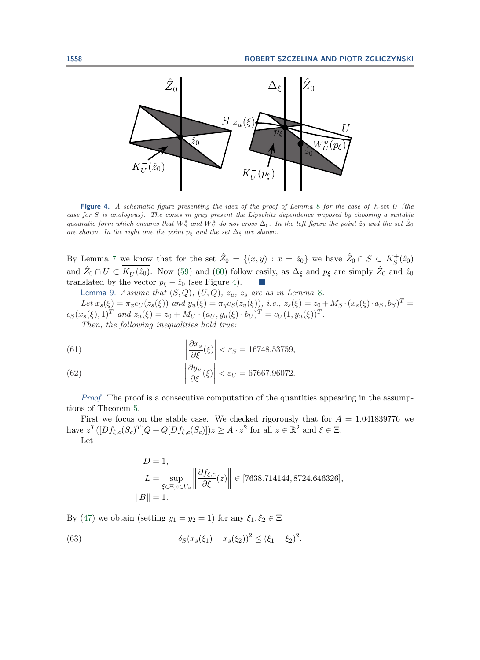

<span id="page-17-1"></span>**Figure 4.** *A schematic figure presenting the idea of the proof of Lemma* [8](#page-16-0) *for the case of* h-set U *(the case for* S *is analogous). The cones in gray present the Lipschitz dependence imposed by choosing a suitable quadratic form which ensures that*  $W_S^s$  *and*  $W_U^u$  *do not cross*  $\Delta_{\xi}$ . In the left figure the point  $\hat{z}_0$  *and the set*  $\hat{Z}_0$ *are shown. In the right one the point*  $p_{\xi}$  *and the set*  $\Delta_{\xi}$  *are shown.* 

By Lemma [7](#page-15-0) we know that for the set  $\hat{Z}_0 = \{(x, y) : x = \hat{z}_0\}$  we have  $\hat{Z}_0 \cap S \subset \overline{K_S^+(\hat{z}_0)}$ and  $\hat{Z}_0 \cap U \subset \overline{K_U^-(\hat{z}_0)}$ . Now [\(59\)](#page-16-3) and [\(60\)](#page-16-4) follow easily, as  $\Delta_{\xi}$  and  $p_{\xi}$  are simply  $\hat{Z}_0$  and  $\hat{z}_0$ translated by the vector  $p_{\xi} - \hat{z}_0$  (see Figure [4\)](#page-17-1). **College** 

<span id="page-17-0"></span>Lemma 9. Assume that  $(S, Q)$ ,  $(U, Q)$ ,  $z_u$ ,  $z_s$  are as in Lemma [8](#page-16-0).

*Let*  $x_s(\xi) = \pi_x c_U(z_s(\xi))$  *and*  $y_u(\xi) = \pi_y c_S(z_u(\xi))$ *, i.e.,*  $z_s(\xi) = z_0 + M_S \cdot (x_s(\xi) \cdot a_S, b_S)^T =$  $c_S(x_s(\xi), 1)^T$  *and*  $z_u(\xi) = z_0 + M_U \cdot (a_U, y_u(\xi) \cdot b_U)^T = c_U(1, y_u(\xi))^T$ .

*Then, the following inequalities hold true:*

(61) 
$$
\left|\frac{\partial x_s}{\partial \xi}(\xi)\right| < \varepsilon_S = 16748.53759,
$$

(62) 
$$
\left|\frac{\partial y_u}{\partial \xi}(\xi)\right| < \varepsilon_U = 67667.96072.
$$

*Proof.* The proof is a consecutive computation of the quantities appearing in the assumptions of Theorem [5.](#page-11-0)

First we focus on the stable case. We checked rigorously that for  $A = 1.041839776$  we have  $z^T([Df_{\xi,c}(S_c)^T]Q + Q[Df_{\xi,c}(S_c)])z \geq A \cdot z^2$  for all  $z \in \mathbb{R}^2$  and  $\xi \in \Xi$ . Let

$$
D = 1,
$$
  
\n
$$
L = \sup_{\xi \in \Xi, z \in U_c} \left\| \frac{\partial f_{\xi,c}}{\partial \xi}(z) \right\| \in [7638.714144, 8724.646326],
$$
  
\n
$$
||B|| = 1.
$$

By [\(47\)](#page-11-4) we obtain (setting  $y_1 = y_2 = 1$ ) for any  $\xi_1, \xi_2 \in \Xi$ 

(63) 
$$
\delta_S(x_s(\xi_1) - x_s(\xi_2))^2 \le (\xi_1 - \xi_2)^2.
$$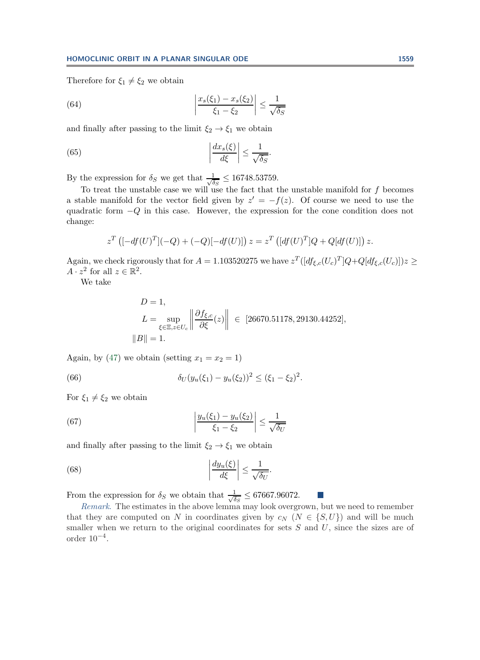Therefore for  $\xi_1 \neq \xi_2$  we obtain

(64) 
$$
\left| \frac{x_s(\xi_1) - x_s(\xi_2)}{\xi_1 - \xi_2} \right| \le \frac{1}{\sqrt{\delta_S}}
$$

and finally after passing to the limit  $\xi_2 \rightarrow \xi_1$  we obtain

(65) 
$$
\left|\frac{dx_s(\xi)}{d\xi}\right| \le \frac{1}{\sqrt{\delta_S}}.
$$

By the expression for  $\delta_S$  we get that  $\frac{1}{\sqrt{\delta_S}} \leq 16748.53759$ .

To treat the unstable case we will use the fact that the unstable manifold for f becomes a stable manifold for the vector field given by  $z' = -f(z)$ . Of course we need to use the quadratic form −Q in this case. However, the expression for the cone condition does not change:

$$
z^T \left( [-df(U)^T](-Q) + (-Q)[-df(U)] \right) z = z^T \left( [df(U)^T]Q + Q[df(U)] \right) z.
$$

Again, we check rigorously that for  $A = 1.103520275$  we have  $z^T([df_{\xi,c}(U_c)^T]Q+Q[df_{\xi,c}(U_c)])z \geq$  $A \cdot z^2$  for all  $z \in \mathbb{R}^2$ .

We take

$$
D = 1,
$$
  
\n
$$
L = \sup_{\xi \in \Xi, z \in U_c} \left\| \frac{\partial f_{\xi,c}}{\partial \xi}(z) \right\| \in [26670.51178, 29130.44252],
$$
  
\n
$$
||B|| = 1.
$$

Again, by [\(47\)](#page-11-4) we obtain (setting  $x_1 = x_2 = 1$ )

(66) 
$$
\delta_U(y_u(\xi_1) - y_u(\xi_2))^2 \le (\xi_1 - \xi_2)^2.
$$

For  $\xi_1 \neq \xi_2$  we obtain

(67) 
$$
\left| \frac{y_u(\xi_1) - y_u(\xi_2)}{\xi_1 - \xi_2} \right| \le \frac{1}{\sqrt{\delta_U}}
$$

and finally after passing to the limit  $\xi_2 \rightarrow \xi_1$  we obtain

(68) 
$$
\left| \frac{dy_u(\xi)}{d\xi} \right| \le \frac{1}{\sqrt{\delta_U}}.
$$

From the expression for  $\delta_S$  we obtain that  $\frac{1}{\sqrt{\delta_S}} \leq 67667.96072$ .

*Remark*. The estimates in the above lemma may look overgrown, but we need to remember that they are computed on N in coordinates given by  $c_N$  ( $N \in \{S, U\}$ ) and will be much smaller when we return to the original coordinates for sets  $S$  and  $U$ , since the sizes are of order  $10^{-4}$ .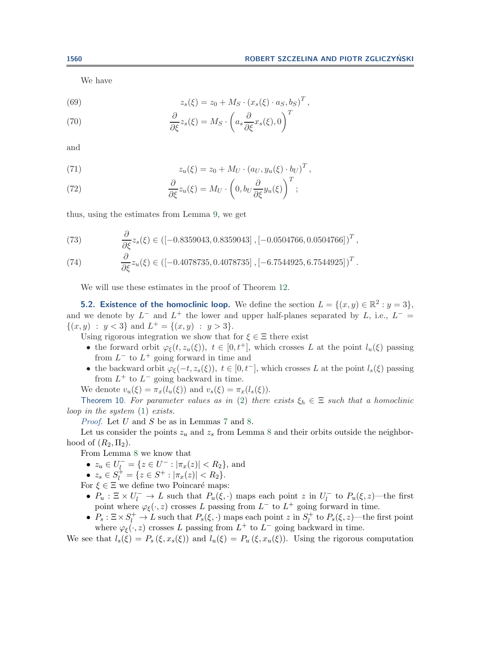We have

(69) 
$$
z_s(\xi) = z_0 + M_S \cdot (x_s(\xi) \cdot a_S, b_S)^T,
$$

(70) 
$$
\frac{\partial}{\partial \xi} z_s(\xi) = M_S \cdot \left( a_s \frac{\partial}{\partial \xi} x_s(\xi), 0 \right)^T
$$

and

(71) 
$$
z_u(\xi) = z_0 + M_U \cdot (a_U, y_u(\xi) \cdot b_U)^T,
$$

(72) 
$$
\frac{\partial}{\partial \xi} z_u(\xi) = M_U \cdot \left(0, b_U \frac{\partial}{\partial \xi} y_u(\xi)\right)^T;
$$

thus, using the estimates from Lemma [9,](#page-17-0) we get

(73) 
$$
\frac{\partial}{\partial \xi} z_s(\xi) \in ([-0.8359043, 0.8359043], [-0.0504766, 0.0504766])^T,
$$

(74) 
$$
\frac{\partial}{\partial \xi} z_u(\xi) \in \left( [-0.4078735, 0.4078735 \right], [-6.7544925, 6.7544925])^T.
$$

We will use these estimates in the proof of Theorem [12.](#page-20-0)

**5.2. Existence of the homoclinic loop.** We define the section  $L = \{(x, y) \in \mathbb{R}^2 : y = 3\}$ , and we denote by  $L^-$  and  $L^+$  the lower and upper half-planes separated by L, i.e.,  $L^-$  =  $\{(x, y) : y < 3\}$  and  $L^+ = \{(x, y) : y > 3\}.$ 

Using rigorous integration we show that for  $\xi \in \Xi$  there exist

- the forward orbit  $\varphi_{\xi}(t, z_u(\xi))$ ,  $t \in [0, t^+]$ , which crosses L at the point  $l_u(\xi)$  passing from  $L^-$  to  $L^+$  going forward in time and
- the backward orbit  $\varphi_{\xi}(-t, z_s(\xi))$ ,  $t \in [0, t^-]$ , which crosses L at the point  $l_s(\xi)$  passing from  $L^+$  to  $L^-$  going backward in time.

We denote  $v_u(\xi) = \pi_x(l_u(\xi))$  and  $v_s(\xi) = \pi_x(l_s(\xi)).$ 

<span id="page-19-0"></span>Theorem 10. For parameter values as in [\(2\)](#page-0-1) there exists  $\xi_h \in \Xi$  such that a homoclinic *loop in the system* [\(1\)](#page-0-0) *exists.*

*Proof*. Let U and S be as in Lemmas [7](#page-15-0) and [8.](#page-16-0)

Let us consider the points  $z_u$  and  $z_s$  from Lemma [8](#page-16-0) and their orbits outside the neighborhood of  $(R_2, \Pi_2)$ .

From Lemma [8](#page-16-0) we know that

- $z_u \in U_l^- = \{z \in U^- : |\pi_x(z)| < R_2\}$ , and
- $z_s \in S_l^+ = \{z \in S^+ : |\pi_x(z)| < R_2\}.$

For  $\xi \in \Xi$  we define two Poincaré maps:

- $P_u : \Xi \times U_l^- \to L$  such that  $P_u(\xi, \cdot)$  maps each point z in  $U_l^-$  to  $P_u(\xi, z)$ —the first point where  $\varphi_{\xi}(\cdot, z)$  crosses L passing from  $L^-$  to  $L^+$  going forward in time.
- $P_s: \Xi \times S_l^+ \to L$  such that  $P_s(\xi, \cdot)$  maps each point z in  $S_l^+$  to  $P_s(\xi, z)$ —the first point where  $\varphi_{\xi}(\cdot, z)$  crosses L passing from  $L^{+}$  to  $L^{-}$  going backward in time.

We see that  $l_s(\xi) = P_s(\xi, x_s(\xi))$  and  $l_u(\xi) = P_u(\xi, x_u(\xi))$ . Using the rigorous computation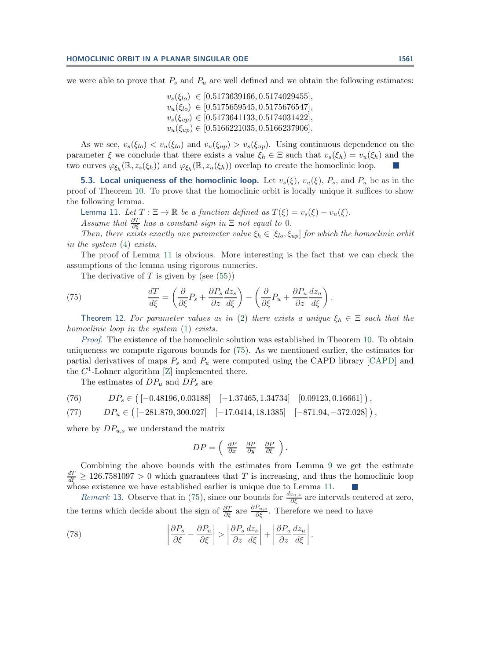we were able to prove that  $P_s$  and  $P_u$  are well defined and we obtain the following estimates:

 $v_s(\xi_{lo}) \in [0.5173639166, 0.5174029455],$  $v_u(\xi_{lo}) \in [0.5175659545, 0.5175676547],$  $v_s(\xi_{un}) \in [0.5173641133, 0.5174031422],$  $v_u(\xi_{up}) \in [0.5166221035, 0.5166237906].$ 

As we see,  $v_s(\xi_{l_0}) < v_u(\xi_{l_0})$  and  $v_u(\xi_{up}) > v_s(\xi_{up})$ . Using continuous dependence on the parameter  $\xi$  we conclude that there exists a value  $\xi_h \in \Xi$  such that  $v_s(\xi_h) = v_u(\xi_h)$  and the two curves  $\varphi_{\xi_h}(\mathbb{R}, z_s(\xi_h))$  and  $\varphi_{\xi_h}(\mathbb{R}, z_u(\xi_h))$  overlap to create the homoclinic loop.

**5.3. Local uniqueness of the homoclinic loop.** Let  $v_s(\xi)$ ,  $v_u(\xi)$ ,  $P_s$ , and  $P_u$  be as in the proof of Theorem [10.](#page-19-0) To prove that the homoclinic orbit is locally unique it suffices to show the following lemma.

<span id="page-20-1"></span>Lemma 11. *Let*  $T : \Xi \to \mathbb{R}$  *be a function defined as*  $T(\xi) = v_s(\xi) - v_u(\xi)$ *. Assume that*  $\frac{\partial T}{\partial \xi}$  *has a constant sign in*  $\Xi$  *not equal to* 0*.* 

*Then, there exists exactly one parameter value*  $\xi_h \in [\xi_{lo}, \xi_{up}]$  *for which the homoclinic orbit in the system* [\(4\)](#page-4-0) *exists.*

The proof of Lemma [11](#page-20-1) is obvious. More interesting is the fact that we can check the assumptions of the lemma using rigorous numerics.

<span id="page-20-2"></span>The derivative of  $T$  is given by (see [\(55\)](#page-13-1))

(75) 
$$
\frac{dT}{d\xi} = \left(\frac{\partial}{\partial\xi}P_s + \frac{\partial P_s}{\partial z}\frac{dz_s}{d\xi}\right) - \left(\frac{\partial}{\partial\xi}P_u + \frac{\partial P_u}{\partial z}\frac{dz_u}{d\xi}\right).
$$

<span id="page-20-0"></span>Theorem 12. For parameter values as in [\(2\)](#page-0-1) there exists a unique  $\xi_h \in \Xi$  such that the *homoclinic loop in the system* [\(1\)](#page-0-0) *exists.*

*Proof*. The existence of the homoclinic solution was established in Theorem [10.](#page-19-0) To obtain uniqueness we compute rigorous bounds for [\(75\)](#page-20-2). As we mentioned earlier, the estimates for partial derivatives of maps  $P_s$  and  $P_u$  were computed using the CAPD library [\[CAPD\]](#page-23-21) and the  $C^1$ -Lohner algorithm [\[Z\]](#page-24-4) implemented there.

The estimates of  $DP_u$  and  $DP_s$  are

<span id="page-20-3"></span>(76) 
$$
DP_s \in \left( [-0.48196, 0.03188] \quad [-1.37465, 1.34734] \quad [0.09123, 0.16661] \right),
$$

<span id="page-20-4"></span>(77) 
$$
DP_u \in \left( [-281.879, 300.027] \quad [-17.0414, 18.1385] \quad [-871.94, -372.028] \right),
$$

where by  $DP_{u,s}$  we understand the matrix

$$
DP = \begin{pmatrix} \frac{\partial P}{\partial x} & \frac{\partial P}{\partial y} & \frac{\partial P}{\partial \xi} \end{pmatrix}.
$$

Combining the above bounds with the estimates from Lemma [9](#page-17-0) we get the estimate  $\frac{dT}{d\xi} \geq 126.7581097 > 0$  which guarantees that T is increasing, and thus the homoclinic loop whose existence we have established earlier is unique due to Lemma [11.](#page-20-1)

*Remark* 13. Observe that in [\(75\)](#page-20-2), since our bounds for  $\frac{dz_{u,s}}{\partial \xi}$  are intervals centered at zero, the terms which decide about the sign of  $\frac{\partial T}{\partial \xi}$  are  $\frac{\partial P_{u,s}}{\partial \xi}$ . Therefore we need to have

(78) 
$$
\left| \frac{\partial P_s}{\partial \xi} - \frac{\partial P_u}{\partial \xi} \right| > \left| \frac{\partial P_s}{\partial z} \frac{dz_s}{d\xi} \right| + \left| \frac{\partial P_u}{\partial z} \frac{dz_u}{d\xi} \right|.
$$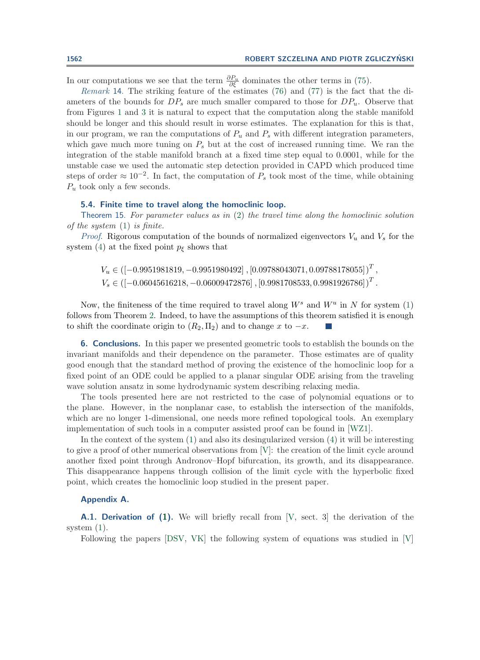In our computations we see that the term  $\frac{\partial P_u}{\partial \xi}$  dominates the other terms in [\(75\)](#page-20-2).

*Remark* 14. The striking feature of the estimates [\(76\)](#page-20-3) and [\(77\)](#page-20-4) is the fact that the di-<br>ters of the bounds for  $DP$  are much smaller compared to those for  $DP$ . Observe that ameters of the bounds for  $DP_s$  are much smaller compared to those for  $DP_u$ . Observe that from Figures [1](#page-1-0) and [3](#page-14-0) it is natural to expect that the computation along the stable manifold should be longer and this should result in worse estimates. The explanation for this is that, in our program, we ran the computations of  $P_u$  and  $P_s$  with different integration parameters, which gave much more tuning on  $P_s$  but at the cost of increased running time. We ran the integration of the stable manifold branch at a fixed time step equal to 0.0001, while for the unstable case we used the automatic step detection provided in CAPD which produced time steps of order  $\approx 10^{-2}$ . In fact, the computation of  $P_s$  took most of the time, while obtaining  $P_u$  took only a few seconds.

## **5.4. Finite time to travel along the homoclinic loop.**

<span id="page-21-1"></span>Theorem 15. *For parameter values as in* [\(2\)](#page-0-1) *the travel time along the homoclinic solution of the system* [\(1\)](#page-0-0) *is finite.*

*Proof.* Rigorous computation of the bounds of normalized eigenvectors  $V_u$  and  $V_s$  for the system [\(4\)](#page-4-0) at the fixed point  $p_{\xi}$  shows that

 $V_u$  ∈  $([-0.9951981819, -0.9951980492]$  ,  $[0.09788043071, 0.09788178055] )^T$  ,  $V_s \in \left([-0.06045616218, -0.06009472876\right], [0.9981708533, 0.9981926786]\right)^T$ .

Now, the finiteness of the time required to travel along  $W^s$  and  $W^u$  in N for system [\(1\)](#page-0-0) follows from Theorem [2.](#page-5-0) Indeed, to have the assumptions of this theorem satisfied it is enough to shift the coordinate origin to  $(R_2, \Pi_2)$  and to change x to  $-x$ .

**6. Conclusions.** In this paper we presented geometric tools to establish the bounds on the invariant manifolds and their dependence on the parameter. Those estimates are of quality good enough that the standard method of proving the existence of the homoclinic loop for a fixed point of an ODE could be applied to a planar singular ODE arising from the traveling wave solution ansatz in some hydrodynamic system describing relaxing media.

The tools presented here are not restricted to the case of polynomial equations or to the plane. However, in the nonplanar case, to establish the intersection of the manifolds, which are no longer 1-dimensional, one needs more refined topological tools. An exemplary implementation of such tools in a computer assisted proof can be found in [\[WZ1\]](#page-24-1).

In the context of the system [\(1\)](#page-0-0) and also its desingularized version [\(4\)](#page-4-0) it will be interesting to give a proof of other numerical observations from [\[V\]](#page-23-0): the creation of the limit cycle around another fixed point through Andronov–Hopf bifurcation, its growth, and its disappearance. This disappearance happens through collision of the limit cycle with the hyperbolic fixed point, which creates the homoclinic loop studied in the present paper.

## <span id="page-21-0"></span>**Appendix A.**

**A.1. Derivation of [\(1\)](#page-0-0).** We will briefly recall from [\[V,](#page-23-0) sect. 3] the derivation of the system [\(1\)](#page-0-0).

Following the papers [\[DSV,](#page-23-22) [VK\]](#page-23-23) the following system of equations was studied in [\[V\]](#page-23-0)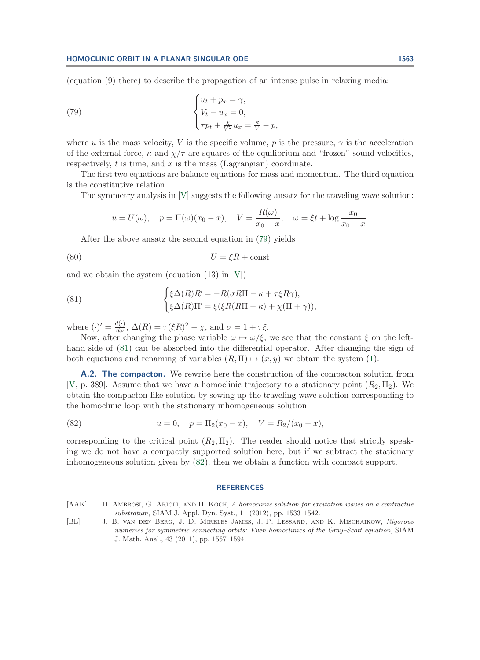(equation (9) there) to describe the propagation of an intense pulse in relaxing media:

(79) 
$$
\begin{cases} u_t + p_x = \gamma, \\ V_t - u_x = 0, \\ \tau p_t + \frac{\chi}{V^2} u_x = \frac{\kappa}{V} - p, \end{cases}
$$

where u is the mass velocity, V is the specific volume, p is the pressure,  $\gamma$  is the acceleration of the external force,  $\kappa$  and  $\chi/\tau$  are squares of the equilibrium and "frozen" sound velocities, respectively,  $t$  is time, and  $x$  is the mass (Lagrangian) coordinate.

The first two equations are balance equations for mass and momentum. The third equation is the constitutive relation.

The symmetry analysis in [\[V\]](#page-23-0) suggests the following ansatz for the traveling wave solution:

<span id="page-22-3"></span><span id="page-22-2"></span>
$$
u = U(\omega)
$$
,  $p = \Pi(\omega)(x_0 - x)$ ,  $V = \frac{R(\omega)}{x_0 - x}$ ,  $\omega = \xi t + \log \frac{x_0}{x_0 - x}$ .

After the above ansatz the second equation in [\(79\)](#page-22-2) yields

$$
(80) \t\t\t U = \xi R + \text{const}
$$

and we obtain the system (equation  $(13)$  in  $[V]$ )

(81) 
$$
\begin{cases} \xi \Delta(R) R' = -R(\sigma R \Pi - \kappa + \tau \xi R \gamma), \\ \xi \Delta(R) \Pi' = \xi (\xi R (R \Pi - \kappa) + \chi(\Pi + \gamma)), \end{cases}
$$

where  $(\cdot)' = \frac{d(\cdot)}{d\omega}, \Delta(R) = \tau (\xi R)^2 - \chi$ , and  $\sigma = 1 + \tau \xi$ .

Now, after changing the phase variable  $\omega \mapsto \omega/\xi$ , we see that the constant  $\xi$  on the lefthand side of [\(81\)](#page-22-3) can be absorbed into the differential operator. After changing the sign of both equations and renaming of variables  $(R,\Pi) \mapsto (x,y)$  we obtain the system [\(1\)](#page-0-0).

**A.2. The compacton.** We rewrite here the construction of the compacton solution from [\[V,](#page-23-0) p. 389]. Assume that we have a homoclinic trajectory to a stationary point  $(R_2, \Pi_2)$ . We obtain the compacton-like solution by sewing up the traveling wave solution corresponding to the homoclinic loop with the stationary inhomogeneous solution

(82) 
$$
u = 0, \quad p = \Pi_2(x_0 - x), \quad V = R_2/(x_0 - x),
$$

corresponding to the critical point  $(R_2, \Pi_2)$ . The reader should notice that strictly speaking we do not have a compactly supported solution here, but if we subtract the stationary inhomogeneous solution given by [\(82\)](#page-22-4), then we obtain a function with compact support.

#### <span id="page-22-4"></span>**REFERENCES**

- <span id="page-22-0"></span>[AAK] D. AMBROSI, G. ARIOLI, AND H. KOCH, *A homoclinic solution for excitation waves on a contractile substratum*, SIAM J. Appl. Dyn. Syst., 11 (2012), pp. 1533–1542.
- <span id="page-22-1"></span>[BL] J. B. van den Berg, J. D. Mireles-James, J.-P. Lessard, and K. Mischaikow, *Rigorous numerics for symmetric connecting orbits: Even homoclinics of the Gray–Scott equation*, SIAM J. Math. Anal., 43 (2011), pp. 1557–1594.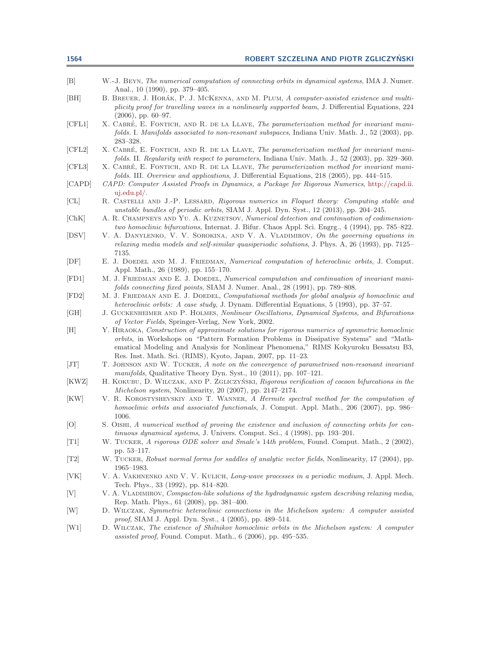<span id="page-23-23"></span><span id="page-23-22"></span><span id="page-23-21"></span><span id="page-23-20"></span><span id="page-23-19"></span><span id="page-23-18"></span><span id="page-23-17"></span><span id="page-23-16"></span><span id="page-23-15"></span><span id="page-23-14"></span><span id="page-23-13"></span><span id="page-23-12"></span><span id="page-23-11"></span><span id="page-23-10"></span><span id="page-23-9"></span><span id="page-23-8"></span><span id="page-23-7"></span><span id="page-23-6"></span><span id="page-23-5"></span><span id="page-23-4"></span><span id="page-23-3"></span><span id="page-23-2"></span><span id="page-23-1"></span><span id="page-23-0"></span>

| 1564                    | ROBERT SZCZELINA AND PIOTR ZGLICZYŃSKI                                                                                                                                                                                                                                                                                                            |
|-------------------------|---------------------------------------------------------------------------------------------------------------------------------------------------------------------------------------------------------------------------------------------------------------------------------------------------------------------------------------------------|
| $\left[\text{B}\right]$ | W.-J. BEYN, The numerical computation of connecting orbits in dynamical systems, IMA J. Numer.<br>Anal., 10 (1990), pp. 379–405.                                                                                                                                                                                                                  |
| [BH]                    | B. BREUER, J. HORÁK, P. J. MCKENNA, AND M. PLUM, A computer-assisted existence and multi-<br>plicity proof for travelling waves in a nonlinearly supported beam, J. Differential Equations, 224<br>$(2006)$ , pp. 60–97.                                                                                                                          |
| [CFL1]                  | X. CABRÉ, E. FONTICH, AND R. DE LA LLAVE, The parameterization method for invariant mani-<br>folds. I. Manifolds associated to non-resonant subspaces, Indiana Univ. Math. J., 52 (2003), pp.<br>$283 - 328.$                                                                                                                                     |
| [CFL2]                  | X. CABRÉ, E. FONTICH, AND R. DE LA LLAVE, The parameterization method for invariant mani-<br>folds. II. Regularity with respect to parameters, Indiana Univ. Math. J., 52 (2003), pp. 329–360.                                                                                                                                                    |
| [CFL3]                  | X. CABRÉ, E. FONTICH, AND R. DE LA LLAVE, The parameterization method for invariant mani-<br>folds. III. Overview and applications, J. Differential Equations, 218 (2005), pp. 444-515.                                                                                                                                                           |
| [CAPD]                  | CAPD: Computer Assisted Proofs in Dynamics, a Package for Rigorous Numerics, http://capd.ii.<br>$uj.edu.pl/$ .                                                                                                                                                                                                                                    |
| [CL]                    | R. CASTELLI AND J.-P. LESSARD, Rigorous numerics in Floquet theory: Computing stable and<br>unstable bundles of periodic orbits, SIAM J. Appl. Dyn. Syst., 12 (2013), pp. 204-245.                                                                                                                                                                |
| [ChK]                   | A. R. CHAMPNEYS AND YU. A. KUZNETSOV, Numerical detection and continuation of codimension-<br>two homoclinic bifurcations, Internat. J. Bifur. Chaos Appl. Sci. Engrg., 4 (1994), pp. 785–822.                                                                                                                                                    |
| [DSV]                   | V. A. DANYLENKO, V. V. SOROKINA, AND V. A. VLADIMIROV, On the governing equations in<br>relaxing media models and self-similar quasiperiodic solutions, J. Phys. A, 26 (1993), pp. 7125–<br>7135.                                                                                                                                                 |
| [DF]                    | E. J. DOEDEL AND M. J. FRIEDMAN, Numerical computation of heteroclinic orbits, J. Comput.<br>Appl. Math., 26 (1989), pp. 155-170.                                                                                                                                                                                                                 |
| [FD1]                   | M. J. FRIEDMAN AND E. J. DOEDEL, Numerical computation and continuation of invariant mani-<br>folds connecting fixed points, SIAM J. Numer. Anal., 28 (1991), pp. 789-808.                                                                                                                                                                        |
| [FD2]                   | M. J. FRIEDMAN AND E. J. DOEDEL, Computational methods for global analysis of homoclinic and<br>heteroclinic orbits: A case study, J. Dynam. Differential Equations, 5 (1993), pp. 37–57.                                                                                                                                                         |
| [GH]                    | J. GUCKENHEIMER AND P. HOLMES, Nonlinear Oscillations, Dynamical Systems, and Bifurcations<br>of Vector Fields, Springer-Verlag, New York, 2002.                                                                                                                                                                                                  |
| [H]                     | Y. HIRAOKA, Construction of approximate solutions for rigorous numerics of symmetric homoclinic<br>orbits, in Workshops on "Pattern Formation Problems in Dissipative Systems" and "Math-<br>ematical Modeling and Analysis for Nonlinear Phenomena," RIMS Kokyuroku Bessatsu B3,<br>Res. Inst. Math. Sci. (RIMS), Kyoto, Japan, 2007, pp. 11-23. |
| [JT]                    | T. JOHNSON AND W. TUCKER, A note on the convergence of parametrised non-resonant invariant<br>manifolds, Qualitative Theory Dyn. Syst., 10 (2011), pp. 107-121.                                                                                                                                                                                   |
| [KWZ]                   | H. KOKUBU, D. WILCZAK, AND P. ZGLICZYŃSKI, Rigorous verification of cocoon bifurcations in the<br>Michelson system, Nonlinearity, 20 (2007), pp. 2147-2174.                                                                                                                                                                                       |
| [KW]                    | V. R. KOROSTYSHEVSKIY AND T. WANNER, A Hermite spectral method for the computation of<br>homoclinic orbits and associated functionals, J. Comput. Appl. Math., 206 (2007), pp. 986–<br>1006.                                                                                                                                                      |
| [O]                     | S. OISHI, A numerical method of proving the existence and inclusion of connecting orbits for con-<br>tinuous dynamical systems, J. Univers. Comput. Sci., 4 (1998), pp. 193-201.                                                                                                                                                                  |
| [T1]                    | W. TUCKER, A rigorous ODE solver and Smale's 14th problem, Found. Comput. Math., 2 (2002),<br>pp. 53-117.                                                                                                                                                                                                                                         |
| [T2]                    | W. TUCKER, Robust normal forms for saddles of analytic vector fields, Nonlinearity, 17 (2004), pp.<br>$1965 - 1983.$                                                                                                                                                                                                                              |
| [VK]                    | V. A. VAKHNENKO AND V. V. KULICH, Long-wave processes in a periodic medium, J. Appl. Mech.<br>Tech. Phys., 33 (1992), pp. 814-820.                                                                                                                                                                                                                |
| [V]                     | V. A. VLADIMIROV, Compacton-like solutions of the hydrodynamic system describing relaxing media,<br>Rep. Math. Phys., 61 (2008), pp. 381-400.                                                                                                                                                                                                     |
| [W]                     | D. WILCZAK, Symmetric heteroclinic connections in the Michelson system: A computer assisted<br><i>proof</i> , SIAM J. Appl. Dyn. Syst., 4 (2005), pp. 489–514.                                                                                                                                                                                    |
| [W1]                    | D. WILCZAK, The existence of Shilnikov homoclinic orbits in the Michelson system: A computer<br>assisted proof, Found. Comput. Math., 6 (2006), pp. 495–535.                                                                                                                                                                                      |